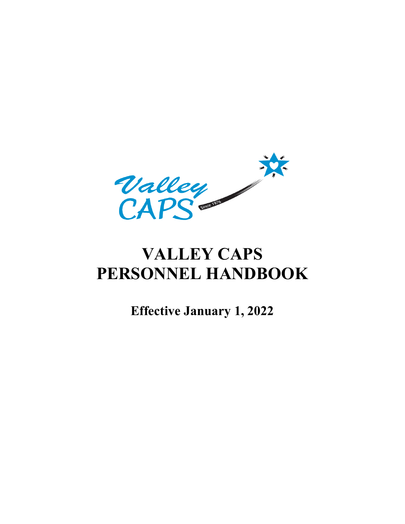

# **VALLEY CAPS PERSONNEL HANDBOOK**

**Effective January 1, 2022**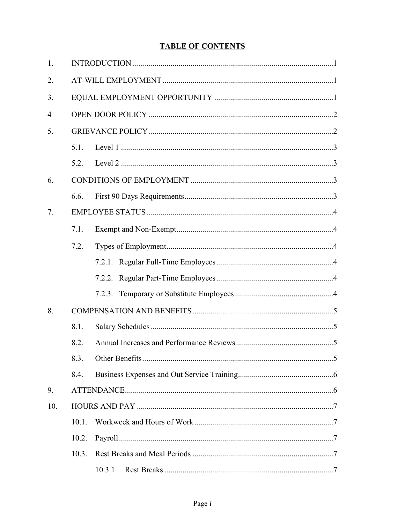# **TABLE OF CONTENTS**

| 1.             |       |  |  |  |
|----------------|-------|--|--|--|
| 2.             |       |  |  |  |
| 3.             |       |  |  |  |
| $\overline{4}$ |       |  |  |  |
| 5.             |       |  |  |  |
|                | 5.1.  |  |  |  |
|                | 5.2.  |  |  |  |
| 6.             |       |  |  |  |
|                | 6.6.  |  |  |  |
| 7.             |       |  |  |  |
|                | 7.1.  |  |  |  |
|                | 7.2.  |  |  |  |
|                |       |  |  |  |
|                |       |  |  |  |
|                |       |  |  |  |
| 8.             |       |  |  |  |
|                | 8.1.  |  |  |  |
|                | 8.2.  |  |  |  |
|                | 8.3.  |  |  |  |
|                | 8.4.  |  |  |  |
| 9.             |       |  |  |  |
| 10.            |       |  |  |  |
|                | 10.1. |  |  |  |
|                | 10.2. |  |  |  |
|                | 10.3. |  |  |  |
|                |       |  |  |  |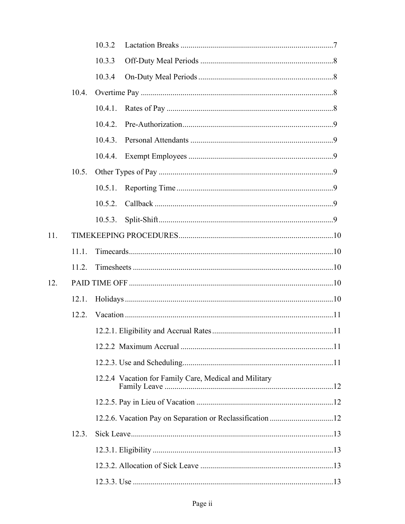|     |       | 10.3.2                                                |  |  |  |
|-----|-------|-------------------------------------------------------|--|--|--|
|     |       | 10.3.3                                                |  |  |  |
|     |       | 10.3.4                                                |  |  |  |
|     | 10.4. |                                                       |  |  |  |
|     |       | 10.4.1.                                               |  |  |  |
|     |       | 10.4.2.                                               |  |  |  |
|     |       | 10.4.3.                                               |  |  |  |
|     |       |                                                       |  |  |  |
|     | 10.5. |                                                       |  |  |  |
|     |       | 10.5.1.                                               |  |  |  |
|     |       | 10.5.2.                                               |  |  |  |
|     |       | 10.5.3.                                               |  |  |  |
| 11. |       |                                                       |  |  |  |
|     | 11.1. |                                                       |  |  |  |
|     | 11.2. |                                                       |  |  |  |
| 12. |       |                                                       |  |  |  |
|     | 12.1. |                                                       |  |  |  |
|     |       |                                                       |  |  |  |
|     |       |                                                       |  |  |  |
|     |       |                                                       |  |  |  |
|     |       |                                                       |  |  |  |
|     |       | 12.2.4 Vacation for Family Care, Medical and Military |  |  |  |
|     |       |                                                       |  |  |  |
|     |       |                                                       |  |  |  |
|     | 12.3. |                                                       |  |  |  |
|     |       |                                                       |  |  |  |
|     |       |                                                       |  |  |  |
|     |       |                                                       |  |  |  |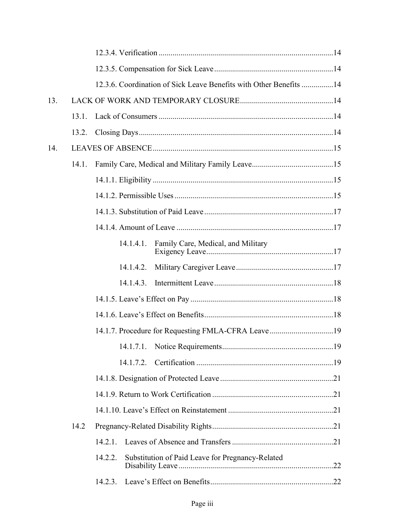|     |       | 12.3.6. Coordination of Sick Leave Benefits with Other Benefits 14 |  |
|-----|-------|--------------------------------------------------------------------|--|
| 13. |       |                                                                    |  |
|     | 13.1  |                                                                    |  |
|     |       |                                                                    |  |
| 14. |       |                                                                    |  |
|     | 14.1. |                                                                    |  |
|     |       |                                                                    |  |
|     |       |                                                                    |  |
|     |       |                                                                    |  |
|     |       |                                                                    |  |
|     |       | Family Care, Medical, and Military<br>14.1.4.1.                    |  |
|     |       |                                                                    |  |
|     |       |                                                                    |  |
|     |       |                                                                    |  |
|     |       |                                                                    |  |
|     |       | 14.1.7. Procedure for Requesting FMLA-CFRA Leave19                 |  |
|     |       |                                                                    |  |
|     |       | 14.1.7.2.                                                          |  |
|     |       |                                                                    |  |
|     |       |                                                                    |  |
|     |       |                                                                    |  |
|     | 14.2  |                                                                    |  |
|     |       | 14.2.1.                                                            |  |
|     |       | 14.2.2.<br>Substitution of Paid Leave for Pregnancy-Related        |  |
|     |       | 14.2.3.                                                            |  |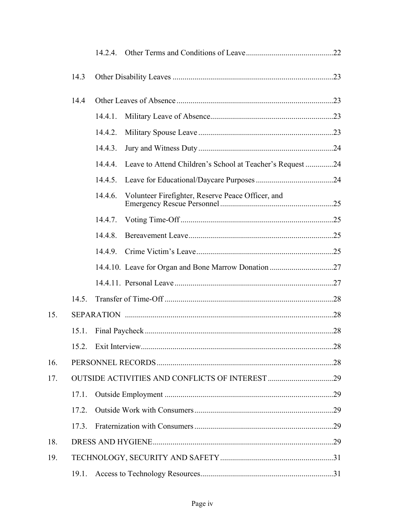|     |       | 14.2.4. |                                                           |
|-----|-------|---------|-----------------------------------------------------------|
|     | 14.3  |         |                                                           |
|     | 14.4  |         |                                                           |
|     |       | 14.4.1. |                                                           |
|     |       | 14.4.2. |                                                           |
|     |       | 14.4.3. |                                                           |
|     |       | 14.4.4. | Leave to Attend Children's School at Teacher's Request 24 |
|     |       | 14.4.5. |                                                           |
|     |       | 14.4.6. | Volunteer Firefighter, Reserve Peace Officer, and         |
|     |       | 14.4.7. |                                                           |
|     |       | 14.4.8. |                                                           |
|     |       | 14.4.9. |                                                           |
|     |       |         |                                                           |
|     |       |         |                                                           |
|     | 14.5. |         |                                                           |
| 15. |       |         |                                                           |
|     | 15.1. |         |                                                           |
|     |       |         |                                                           |
| 16. |       |         |                                                           |
| 17. |       |         |                                                           |
|     | 17.1. |         |                                                           |
|     | 17.2. |         |                                                           |
|     | 17.3. |         |                                                           |
| 18. |       |         |                                                           |
| 19. |       |         |                                                           |
|     | 19.1. |         |                                                           |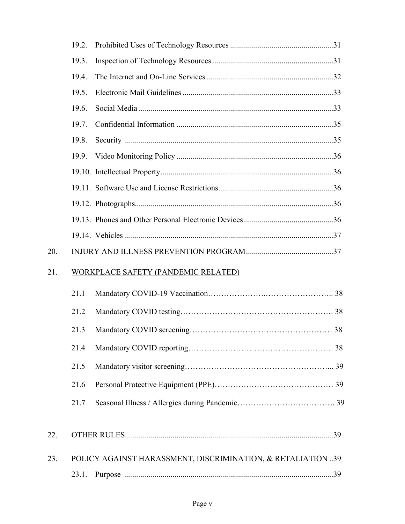|     | 19.2.                                      |                                                            |  |
|-----|--------------------------------------------|------------------------------------------------------------|--|
|     | 19.3.                                      |                                                            |  |
|     | 19.4.                                      |                                                            |  |
|     | 19.5.                                      |                                                            |  |
|     | 19.6.                                      |                                                            |  |
|     | 19.7.                                      |                                                            |  |
|     | 19.8.                                      |                                                            |  |
|     | 19.9.                                      |                                                            |  |
|     |                                            |                                                            |  |
|     |                                            |                                                            |  |
|     |                                            |                                                            |  |
|     |                                            |                                                            |  |
|     |                                            |                                                            |  |
| 20. |                                            |                                                            |  |
| 21. | <b>WORKPLACE SAFETY (PANDEMIC RELATED)</b> |                                                            |  |
|     | 21.1                                       |                                                            |  |
|     | 21.2                                       |                                                            |  |
|     | 21.3                                       |                                                            |  |
|     | 21.4                                       |                                                            |  |
|     | 21.5                                       |                                                            |  |
|     | 21.6                                       |                                                            |  |
|     | 21.7                                       |                                                            |  |
| 22. |                                            |                                                            |  |
| 23. |                                            | POLICY AGAINST HARASSMENT, DISCRIMINATION, & RETALIATION39 |  |
|     | 23.1.                                      |                                                            |  |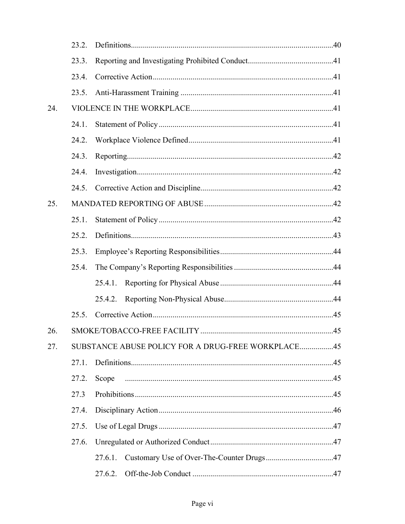|     | 23.2. |                                                    |
|-----|-------|----------------------------------------------------|
|     | 23.3. |                                                    |
|     | 23.4. |                                                    |
|     | 23.5. |                                                    |
| 24. |       |                                                    |
|     | 24.1. |                                                    |
|     | 24.2. |                                                    |
|     | 24.3. |                                                    |
|     | 24.4. |                                                    |
|     | 24.5. |                                                    |
| 25. |       |                                                    |
|     | 25.1. |                                                    |
|     | 25.2. |                                                    |
|     | 25.3. |                                                    |
|     | 25.4. |                                                    |
|     |       | 25.4.1.                                            |
|     |       | 25.4.2.                                            |
|     | 25.5. |                                                    |
| 26. |       |                                                    |
| 27. |       | SUBSTANCE ABUSE POLICY FOR A DRUG-FREE WORKPLACE45 |
|     | 27.1. |                                                    |
|     | 27.2. | Scope                                              |
|     | 27.3  |                                                    |
|     | 27.4. |                                                    |
|     | 27.5. |                                                    |
|     | 27.6. |                                                    |
|     |       | 27.6.1.                                            |
|     |       | .47                                                |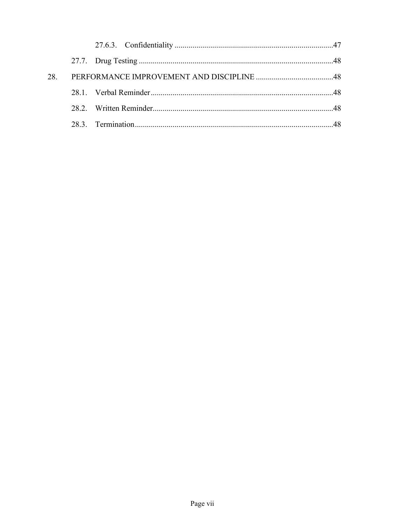| 28. |  |  |
|-----|--|--|
|     |  |  |
|     |  |  |
|     |  |  |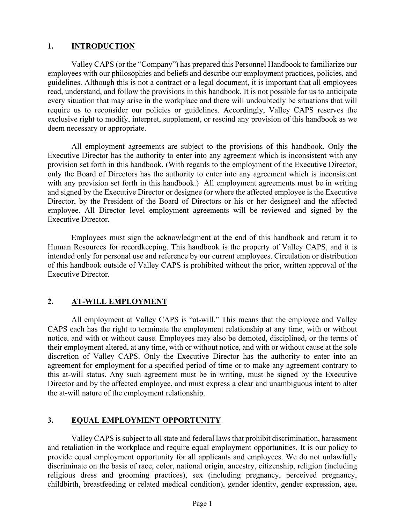## **1. INTRODUCTION**

Valley CAPS (or the "Company") has prepared this Personnel Handbook to familiarize our employees with our philosophies and beliefs and describe our employment practices, policies, and guidelines. Although this is not a contract or a legal document, it is important that all employees read, understand, and follow the provisions in this handbook. It is not possible for us to anticipate every situation that may arise in the workplace and there will undoubtedly be situations that will require us to reconsider our policies or guidelines. Accordingly, Valley CAPS reserves the exclusive right to modify, interpret, supplement, or rescind any provision of this handbook as we deem necessary or appropriate.

All employment agreements are subject to the provisions of this handbook. Only the Executive Director has the authority to enter into any agreement which is inconsistent with any provision set forth in this handbook. (With regards to the employment of the Executive Director, only the Board of Directors has the authority to enter into any agreement which is inconsistent with any provision set forth in this handbook.) All employment agreements must be in writing and signed by the Executive Director or designee (or where the affected employee is the Executive Director, by the President of the Board of Directors or his or her designee) and the affected employee. All Director level employment agreements will be reviewed and signed by the Executive Director.

Employees must sign the acknowledgment at the end of this handbook and return it to Human Resources for recordkeeping. This handbook is the property of Valley CAPS, and it is intended only for personal use and reference by our current employees. Circulation or distribution of this handbook outside of Valley CAPS is prohibited without the prior, written approval of the Executive Director.

## **2. AT-WILL EMPLOYMENT**

All employment at Valley CAPS is "at-will." This means that the employee and Valley CAPS each has the right to terminate the employment relationship at any time, with or without notice, and with or without cause. Employees may also be demoted, disciplined, or the terms of their employment altered, at any time, with or without notice, and with or without cause at the sole discretion of Valley CAPS. Only the Executive Director has the authority to enter into an agreement for employment for a specified period of time or to make any agreement contrary to this at-will status. Any such agreement must be in writing, must be signed by the Executive Director and by the affected employee, and must express a clear and unambiguous intent to alter the at-will nature of the employment relationship.

## **3. EQUAL EMPLOYMENT OPPORTUNITY**

Valley CAPS is subject to all state and federal laws that prohibit discrimination, harassment and retaliation in the workplace and require equal employment opportunities. It is our policy to provide equal employment opportunity for all applicants and employees. We do not unlawfully discriminate on the basis of race, color, national origin, ancestry, citizenship, religion (including religious dress and grooming practices), sex (including pregnancy, perceived pregnancy, childbirth, breastfeeding or related medical condition), gender identity, gender expression, age,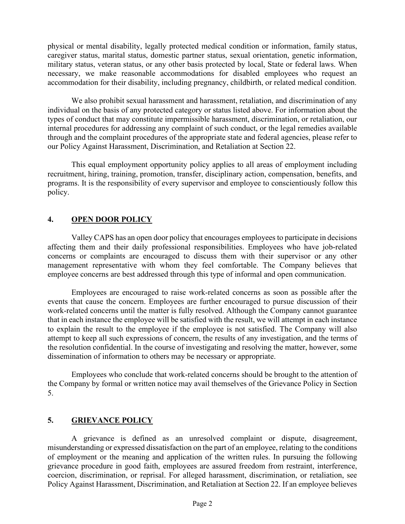physical or mental disability, legally protected medical condition or information, family status, caregiver status, marital status, domestic partner status, sexual orientation, genetic information, military status, veteran status, or any other basis protected by local, State or federal laws. When necessary, we make reasonable accommodations for disabled employees who request an accommodation for their disability, including pregnancy, childbirth, or related medical condition.

We also prohibit sexual harassment and harassment, retaliation, and discrimination of any individual on the basis of any protected category or status listed above. For information about the types of conduct that may constitute impermissible harassment, discrimination, or retaliation, our internal procedures for addressing any complaint of such conduct, or the legal remedies available through and the complaint procedures of the appropriate state and federal agencies, please refer to our Policy Against Harassment, Discrimination, and Retaliation at Section 22.

This equal employment opportunity policy applies to all areas of employment including recruitment, hiring, training, promotion, transfer, disciplinary action, compensation, benefits, and programs. It is the responsibility of every supervisor and employee to conscientiously follow this policy.

## **4. OPEN DOOR POLICY**

Valley CAPS has an open door policy that encourages employees to participate in decisions affecting them and their daily professional responsibilities. Employees who have job-related concerns or complaints are encouraged to discuss them with their supervisor or any other management representative with whom they feel comfortable. The Company believes that employee concerns are best addressed through this type of informal and open communication.

Employees are encouraged to raise work-related concerns as soon as possible after the events that cause the concern. Employees are further encouraged to pursue discussion of their work-related concerns until the matter is fully resolved. Although the Company cannot guarantee that in each instance the employee will be satisfied with the result, we will attempt in each instance to explain the result to the employee if the employee is not satisfied. The Company will also attempt to keep all such expressions of concern, the results of any investigation, and the terms of the resolution confidential. In the course of investigating and resolving the matter, however, some dissemination of information to others may be necessary or appropriate.

Employees who conclude that work-related concerns should be brought to the attention of the Company by formal or written notice may avail themselves of the Grievance Policy in Section 5.

# **5. GRIEVANCE POLICY**

A grievance is defined as an unresolved complaint or dispute, disagreement, misunderstanding or expressed dissatisfaction on the part of an employee, relating to the conditions of employment or the meaning and application of the written rules. In pursuing the following grievance procedure in good faith, employees are assured freedom from restraint, interference, coercion, discrimination, or reprisal. For alleged harassment, discrimination, or retaliation, see Policy Against Harassment, Discrimination, and Retaliation at Section 22. If an employee believes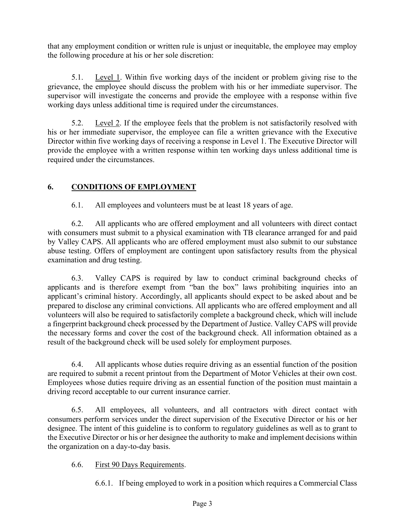that any employment condition or written rule is unjust or inequitable, the employee may employ the following procedure at his or her sole discretion:

5.1. Level 1. Within five working days of the incident or problem giving rise to the grievance, the employee should discuss the problem with his or her immediate supervisor. The supervisor will investigate the concerns and provide the employee with a response within five working days unless additional time is required under the circumstances.

5.2. Level 2. If the employee feels that the problem is not satisfactorily resolved with his or her immediate supervisor, the employee can file a written grievance with the Executive Director within five working days of receiving a response in Level 1. The Executive Director will provide the employee with a written response within ten working days unless additional time is required under the circumstances.

# **6. CONDITIONS OF EMPLOYMENT**

6.1. All employees and volunteers must be at least 18 years of age.

6.2. All applicants who are offered employment and all volunteers with direct contact with consumers must submit to a physical examination with TB clearance arranged for and paid by Valley CAPS. All applicants who are offered employment must also submit to our substance abuse testing. Offers of employment are contingent upon satisfactory results from the physical examination and drug testing.

6.3. Valley CAPS is required by law to conduct criminal background checks of applicants and is therefore exempt from "ban the box" laws prohibiting inquiries into an applicant's criminal history. Accordingly, all applicants should expect to be asked about and be prepared to disclose any criminal convictions. All applicants who are offered employment and all volunteers will also be required to satisfactorily complete a background check, which will include a fingerprint background check processed by the Department of Justice. Valley CAPS will provide the necessary forms and cover the cost of the background check. All information obtained as a result of the background check will be used solely for employment purposes.

6.4. All applicants whose duties require driving as an essential function of the position are required to submit a recent printout from the Department of Motor Vehicles at their own cost. Employees whose duties require driving as an essential function of the position must maintain a driving record acceptable to our current insurance carrier.

6.5. All employees, all volunteers, and all contractors with direct contact with consumers perform services under the direct supervision of the Executive Director or his or her designee. The intent of this guideline is to conform to regulatory guidelines as well as to grant to the Executive Director or his or her designee the authority to make and implement decisions within the organization on a day-to-day basis.

# 6.6. First 90 Days Requirements.

6.6.1. If being employed to work in a position which requires a Commercial Class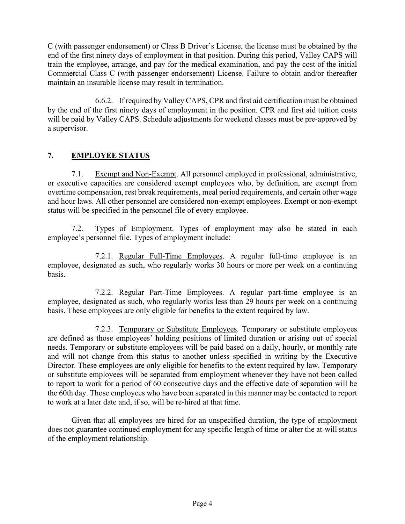C (with passenger endorsement) or Class B Driver's License, the license must be obtained by the end of the first ninety days of employment in that position. During this period, Valley CAPS will train the employee, arrange, and pay for the medical examination, and pay the cost of the initial Commercial Class C (with passenger endorsement) License. Failure to obtain and/or thereafter maintain an insurable license may result in termination.

6.6.2. If required by Valley CAPS, CPR and first aid certification must be obtained by the end of the first ninety days of employment in the position. CPR and first aid tuition costs will be paid by Valley CAPS. Schedule adjustments for weekend classes must be pre-approved by a supervisor.

# **7. EMPLOYEE STATUS**

7.1. Exempt and Non-Exempt. All personnel employed in professional, administrative, or executive capacities are considered exempt employees who, by definition, are exempt from overtime compensation, rest break requirements, meal period requirements, and certain other wage and hour laws. All other personnel are considered non-exempt employees. Exempt or non-exempt status will be specified in the personnel file of every employee.

7.2. Types of Employment. Types of employment may also be stated in each employee's personnel file. Types of employment include:

7.2.1. Regular Full-Time Employees. A regular full-time employee is an employee, designated as such, who regularly works 30 hours or more per week on a continuing basis.

7.2.2. Regular Part-Time Employees. A regular part-time employee is an employee, designated as such, who regularly works less than 29 hours per week on a continuing basis. These employees are only eligible for benefits to the extent required by law.

7.2.3. Temporary or Substitute Employees. Temporary or substitute employees are defined as those employees' holding positions of limited duration or arising out of special needs. Temporary or substitute employees will be paid based on a daily, hourly, or monthly rate and will not change from this status to another unless specified in writing by the Executive Director. These employees are only eligible for benefits to the extent required by law. Temporary or substitute employees will be separated from employment whenever they have not been called to report to work for a period of 60 consecutive days and the effective date of separation will be the 60th day. Those employees who have been separated in this manner may be contacted to report to work at a later date and, if so, will be re-hired at that time.

Given that all employees are hired for an unspecified duration, the type of employment does not guarantee continued employment for any specific length of time or alter the at-will status of the employment relationship.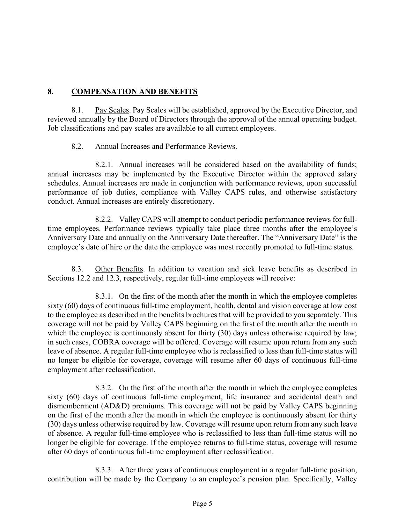## **8. COMPENSATION AND BENEFITS**

8.1. Pay Scales. Pay Scales will be established, approved by the Executive Director, and reviewed annually by the Board of Directors through the approval of the annual operating budget. Job classifications and pay scales are available to all current employees.

## 8.2. Annual Increases and Performance Reviews.

8.2.1. Annual increases will be considered based on the availability of funds; annual increases may be implemented by the Executive Director within the approved salary schedules. Annual increases are made in conjunction with performance reviews, upon successful performance of job duties, compliance with Valley CAPS rules, and otherwise satisfactory conduct. Annual increases are entirely discretionary.

8.2.2. Valley CAPS will attempt to conduct periodic performance reviews for fulltime employees. Performance reviews typically take place three months after the employee's Anniversary Date and annually on the Anniversary Date thereafter. The "Anniversary Date" is the employee's date of hire or the date the employee was most recently promoted to full-time status.

8.3. Other Benefits. In addition to vacation and sick leave benefits as described in Sections 12.2 and 12.3, respectively, regular full-time employees will receive:

8.3.1. On the first of the month after the month in which the employee completes sixty (60) days of continuous full-time employment, health, dental and vision coverage at low cost to the employee as described in the benefits brochures that will be provided to you separately. This coverage will not be paid by Valley CAPS beginning on the first of the month after the month in which the employee is continuously absent for thirty (30) days unless otherwise required by law; in such cases, COBRA coverage will be offered. Coverage will resume upon return from any such leave of absence. A regular full-time employee who is reclassified to less than full-time status will no longer be eligible for coverage, coverage will resume after 60 days of continuous full-time employment after reclassification.

8.3.2. On the first of the month after the month in which the employee completes sixty (60) days of continuous full-time employment, life insurance and accidental death and dismemberment (AD&D) premiums. This coverage will not be paid by Valley CAPS beginning on the first of the month after the month in which the employee is continuously absent for thirty (30) days unless otherwise required by law. Coverage will resume upon return from any such leave of absence. A regular full-time employee who is reclassified to less than full-time status will no longer be eligible for coverage. If the employee returns to full-time status, coverage will resume after 60 days of continuous full-time employment after reclassification.

8.3.3. After three years of continuous employment in a regular full-time position, contribution will be made by the Company to an employee's pension plan. Specifically, Valley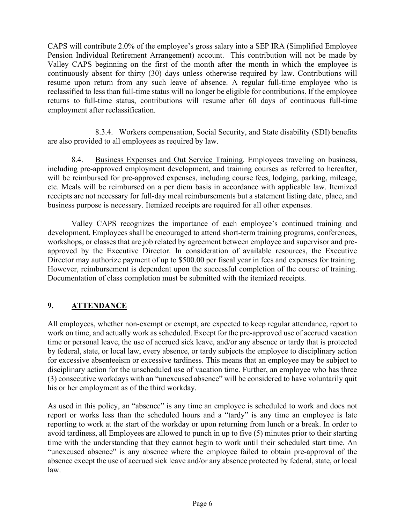CAPS will contribute 2.0% of the employee's gross salary into a SEP IRA (Simplified Employee Pension Individual Retirement Arrangement) account. This contribution will not be made by Valley CAPS beginning on the first of the month after the month in which the employee is continuously absent for thirty (30) days unless otherwise required by law. Contributions will resume upon return from any such leave of absence. A regular full-time employee who is reclassified to less than full-time status will no longer be eligible for contributions. If the employee returns to full-time status, contributions will resume after 60 days of continuous full-time employment after reclassification.

8.3.4. Workers compensation, Social Security, and State disability (SDI) benefits are also provided to all employees as required by law.

8.4. Business Expenses and Out Service Training. Employees traveling on business, including pre-approved employment development, and training courses as referred to hereafter, will be reimbursed for pre-approved expenses, including course fees, lodging, parking, mileage, etc. Meals will be reimbursed on a per diem basis in accordance with applicable law. Itemized receipts are not necessary for full-day meal reimbursements but a statement listing date, place, and business purpose is necessary. Itemized receipts are required for all other expenses.

Valley CAPS recognizes the importance of each employee's continued training and development. Employees shall be encouraged to attend short-term training programs, conferences, workshops, or classes that are job related by agreement between employee and supervisor and preapproved by the Executive Director. In consideration of available resources, the Executive Director may authorize payment of up to \$500.00 per fiscal year in fees and expenses for training. However, reimbursement is dependent upon the successful completion of the course of training. Documentation of class completion must be submitted with the itemized receipts.

# **9. ATTENDANCE**

All employees, whether non-exempt or exempt, are expected to keep regular attendance, report to work on time, and actually work as scheduled. Except for the pre-approved use of accrued vacation time or personal leave, the use of accrued sick leave, and/or any absence or tardy that is protected by federal, state, or local law, every absence, or tardy subjects the employee to disciplinary action for excessive absenteeism or excessive tardiness. This means that an employee may be subject to disciplinary action for the unscheduled use of vacation time. Further, an employee who has three (3) consecutive workdays with an "unexcused absence" will be considered to have voluntarily quit his or her employment as of the third workday.

As used in this policy, an "absence" is any time an employee is scheduled to work and does not report or works less than the scheduled hours and a "tardy" is any time an employee is late reporting to work at the start of the workday or upon returning from lunch or a break. In order to avoid tardiness, all Employees are allowed to punch in up to five (5) minutes prior to their starting time with the understanding that they cannot begin to work until their scheduled start time. An "unexcused absence" is any absence where the employee failed to obtain pre-approval of the absence except the use of accrued sick leave and/or any absence protected by federal, state, or local law.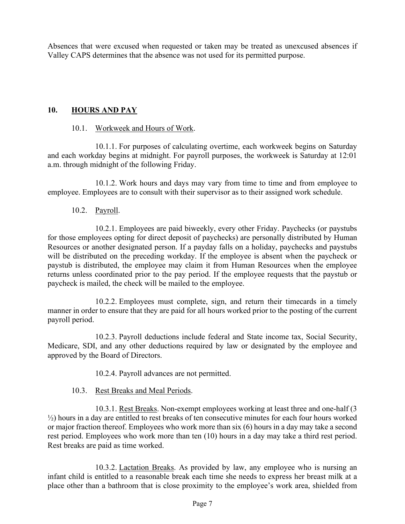Absences that were excused when requested or taken may be treated as unexcused absences if Valley CAPS determines that the absence was not used for its permitted purpose.

#### **10. HOURS AND PAY**

#### 10.1. Workweek and Hours of Work.

10.1.1. For purposes of calculating overtime, each workweek begins on Saturday and each workday begins at midnight. For payroll purposes, the workweek is Saturday at 12:01 a.m. through midnight of the following Friday.

10.1.2. Work hours and days may vary from time to time and from employee to employee. Employees are to consult with their supervisor as to their assigned work schedule.

#### 10.2. Payroll.

10.2.1. Employees are paid biweekly, every other Friday. Paychecks (or paystubs for those employees opting for direct deposit of paychecks) are personally distributed by Human Resources or another designated person. If a payday falls on a holiday, paychecks and paystubs will be distributed on the preceding workday. If the employee is absent when the paycheck or paystub is distributed, the employee may claim it from Human Resources when the employee returns unless coordinated prior to the pay period. If the employee requests that the paystub or paycheck is mailed, the check will be mailed to the employee.

10.2.2. Employees must complete, sign, and return their timecards in a timely manner in order to ensure that they are paid for all hours worked prior to the posting of the current payroll period.

10.2.3. Payroll deductions include federal and State income tax, Social Security, Medicare, SDI, and any other deductions required by law or designated by the employee and approved by the Board of Directors.

10.2.4. Payroll advances are not permitted.

10.3. Rest Breaks and Meal Periods.

10.3.1. Rest Breaks. Non-exempt employees working at least three and one-half (3 ½) hours in a day are entitled to rest breaks of ten consecutive minutes for each four hours worked or major fraction thereof. Employees who work more than six (6) hours in a day may take a second rest period. Employees who work more than ten (10) hours in a day may take a third rest period. Rest breaks are paid as time worked.

10.3.2. Lactation Breaks. As provided by law, any employee who is nursing an infant child is entitled to a reasonable break each time she needs to express her breast milk at a place other than a bathroom that is close proximity to the employee's work area, shielded from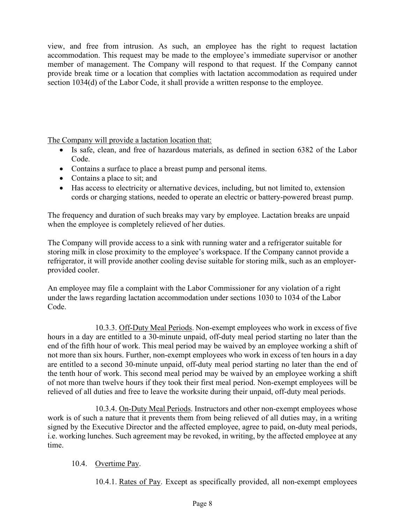view, and free from intrusion. As such, an employee has the right to request lactation accommodation. This request may be made to the employee's immediate supervisor or another member of management. The Company will respond to that request. If the Company cannot provide break time or a location that complies with lactation accommodation as required under section 1034(d) of the Labor Code, it shall provide a written response to the employee.

The Company will provide a lactation location that:

- Is safe, clean, and free of hazardous materials, as defined in section 6382 of the Labor Code.
- Contains a surface to place a breast pump and personal items.
- Contains a place to sit; and
- Has access to electricity or alternative devices, including, but not limited to, extension cords or charging stations, needed to operate an electric or battery-powered breast pump.

The frequency and duration of such breaks may vary by employee. Lactation breaks are unpaid when the employee is completely relieved of her duties.

The Company will provide access to a sink with running water and a refrigerator suitable for storing milk in close proximity to the employee's workspace. If the Company cannot provide a refrigerator, it will provide another cooling devise suitable for storing milk, such as an employerprovided cooler.

An employee may file a complaint with the Labor Commissioner for any violation of a right under the laws regarding lactation accommodation under sections 1030 to 1034 of the Labor Code.

10.3.3. Off-Duty Meal Periods. Non-exempt employees who work in excess of five hours in a day are entitled to a 30-minute unpaid, off-duty meal period starting no later than the end of the fifth hour of work. This meal period may be waived by an employee working a shift of not more than six hours. Further, non-exempt employees who work in excess of ten hours in a day are entitled to a second 30-minute unpaid, off-duty meal period starting no later than the end of the tenth hour of work. This second meal period may be waived by an employee working a shift of not more than twelve hours if they took their first meal period. Non-exempt employees will be relieved of all duties and free to leave the worksite during their unpaid, off-duty meal periods.

10.3.4. On-Duty Meal Periods. Instructors and other non-exempt employees whose work is of such a nature that it prevents them from being relieved of all duties may, in a writing signed by the Executive Director and the affected employee, agree to paid, on-duty meal periods, i.e. working lunches. Such agreement may be revoked, in writing, by the affected employee at any time.

## 10.4. Overtime Pay.

10.4.1. Rates of Pay. Except as specifically provided, all non-exempt employees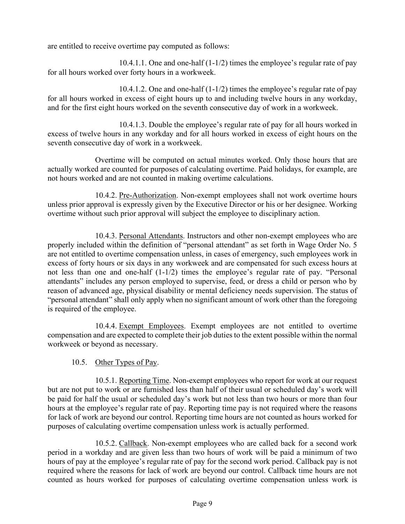are entitled to receive overtime pay computed as follows:

10.4.1.1. One and one-half (1-1/2) times the employee's regular rate of pay for all hours worked over forty hours in a workweek.

10.4.1.2. One and one-half (1-1/2) times the employee's regular rate of pay for all hours worked in excess of eight hours up to and including twelve hours in any workday, and for the first eight hours worked on the seventh consecutive day of work in a workweek.

10.4.1.3. Double the employee's regular rate of pay for all hours worked in excess of twelve hours in any workday and for all hours worked in excess of eight hours on the seventh consecutive day of work in a workweek.

Overtime will be computed on actual minutes worked. Only those hours that are actually worked are counted for purposes of calculating overtime. Paid holidays, for example, are not hours worked and are not counted in making overtime calculations.

10.4.2. Pre-Authorization. Non-exempt employees shall not work overtime hours unless prior approval is expressly given by the Executive Director or his or her designee. Working overtime without such prior approval will subject the employee to disciplinary action.

10.4.3. Personal Attendants. Instructors and other non-exempt employees who are properly included within the definition of "personal attendant" as set forth in Wage Order No. 5 are not entitled to overtime compensation unless, in cases of emergency, such employees work in excess of forty hours or six days in any workweek and are compensated for such excess hours at not less than one and one-half (1-1/2) times the employee's regular rate of pay. "Personal attendants" includes any person employed to supervise, feed, or dress a child or person who by reason of advanced age, physical disability or mental deficiency needs supervision. The status of "personal attendant" shall only apply when no significant amount of work other than the foregoing is required of the employee.

10.4.4. Exempt Employees. Exempt employees are not entitled to overtime compensation and are expected to complete their job duties to the extent possible within the normal workweek or beyond as necessary.

## 10.5. Other Types of Pay.

10.5.1. Reporting Time. Non-exempt employees who report for work at our request but are not put to work or are furnished less than half of their usual or scheduled day's work will be paid for half the usual or scheduled day's work but not less than two hours or more than four hours at the employee's regular rate of pay. Reporting time pay is not required where the reasons for lack of work are beyond our control. Reporting time hours are not counted as hours worked for purposes of calculating overtime compensation unless work is actually performed.

10.5.2. Callback. Non-exempt employees who are called back for a second work period in a workday and are given less than two hours of work will be paid a minimum of two hours of pay at the employee's regular rate of pay for the second work period. Callback pay is not required where the reasons for lack of work are beyond our control. Callback time hours are not counted as hours worked for purposes of calculating overtime compensation unless work is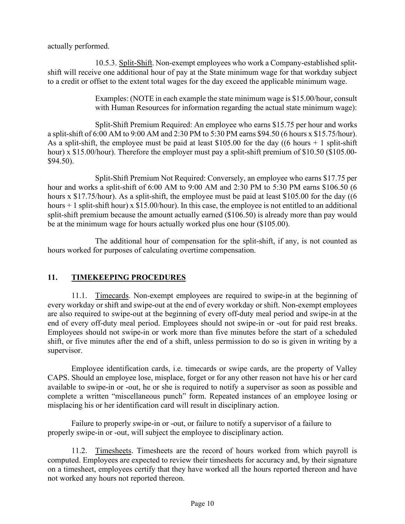actually performed.

10.5.3. Split-Shift. Non-exempt employees who work a Company-established splitshift will receive one additional hour of pay at the State minimum wage for that workday subject to a credit or offset to the extent total wages for the day exceed the applicable minimum wage.

> Examples: (NOTE in each example the state minimum wage is \$15.00/hour, consult with Human Resources for information regarding the actual state minimum wage):

Split-Shift Premium Required: An employee who earns \$15.75 per hour and works a split-shift of 6:00 AM to 9:00 AM and 2:30 PM to 5:30 PM earns \$94.50 (6 hours x \$15.75/hour). As a split-shift, the employee must be paid at least \$105.00 for the day ((6 hours  $+ 1$  split-shift) hour) x \$15.00/hour). Therefore the employer must pay a split-shift premium of \$10.50 (\$105.00-\$94.50).

Split-Shift Premium Not Required: Conversely, an employee who earns \$17.75 per hour and works a split-shift of 6:00 AM to 9:00 AM and 2:30 PM to 5:30 PM earns \$106.50 (6 hours x \$17.75/hour). As a split-shift, the employee must be paid at least \$105.00 for the day ((6) hours  $+1$  split-shift hour) x \$15.00/hour). In this case, the employee is not entitled to an additional split-shift premium because the amount actually earned (\$106.50) is already more than pay would be at the minimum wage for hours actually worked plus one hour (\$105.00).

The additional hour of compensation for the split-shift, if any, is not counted as hours worked for purposes of calculating overtime compensation.

# **11. TIMEKEEPING PROCEDURES**

11.1. Timecards. Non-exempt employees are required to swipe-in at the beginning of every workday or shift and swipe-out at the end of every workday or shift. Non-exempt employees are also required to swipe-out at the beginning of every off-duty meal period and swipe-in at the end of every off-duty meal period. Employees should not swipe-in or -out for paid rest breaks. Employees should not swipe-in or work more than five minutes before the start of a scheduled shift, or five minutes after the end of a shift, unless permission to do so is given in writing by a supervisor.

Employee identification cards, i.e. timecards or swipe cards, are the property of Valley CAPS. Should an employee lose, misplace, forget or for any other reason not have his or her card available to swipe-in or -out, he or she is required to notify a supervisor as soon as possible and complete a written "miscellaneous punch" form. Repeated instances of an employee losing or misplacing his or her identification card will result in disciplinary action.

Failure to properly swipe-in or -out, or failure to notify a supervisor of a failure to properly swipe-in or -out, will subject the employee to disciplinary action.

11.2. Timesheets. Timesheets are the record of hours worked from which payroll is computed. Employees are expected to review their timesheets for accuracy and, by their signature on a timesheet, employees certify that they have worked all the hours reported thereon and have not worked any hours not reported thereon.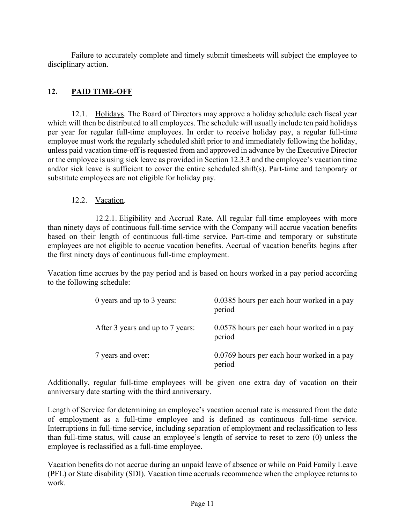Failure to accurately complete and timely submit timesheets will subject the employee to disciplinary action.

## **12. PAID TIME-OFF**

12.1. Holidays. The Board of Directors may approve a holiday schedule each fiscal year which will then be distributed to all employees. The schedule will usually include ten paid holidays per year for regular full-time employees. In order to receive holiday pay, a regular full-time employee must work the regularly scheduled shift prior to and immediately following the holiday, unless paid vacation time-off is requested from and approved in advance by the Executive Director or the employee is using sick leave as provided in Section 12.3.3 and the employee's vacation time and/or sick leave is sufficient to cover the entire scheduled shift(s). Part-time and temporary or substitute employees are not eligible for holiday pay.

## 12.2. Vacation.

12.2.1. Eligibility and Accrual Rate. All regular full-time employees with more than ninety days of continuous full-time service with the Company will accrue vacation benefits based on their length of continuous full-time service. Part-time and temporary or substitute employees are not eligible to accrue vacation benefits. Accrual of vacation benefits begins after the first ninety days of continuous full-time employment.

Vacation time accrues by the pay period and is based on hours worked in a pay period according to the following schedule:

| 0 years and up to 3 years:       | 0.0385 hours per each hour worked in a pay<br>period |
|----------------------------------|------------------------------------------------------|
| After 3 years and up to 7 years: | 0.0578 hours per each hour worked in a pay<br>period |
| 7 years and over:                | 0.0769 hours per each hour worked in a pay<br>period |

Additionally, regular full-time employees will be given one extra day of vacation on their anniversary date starting with the third anniversary.

Length of Service for determining an employee's vacation accrual rate is measured from the date of employment as a full-time employee and is defined as continuous full-time service. Interruptions in full-time service, including separation of employment and reclassification to less than full-time status, will cause an employee's length of service to reset to zero (0) unless the employee is reclassified as a full-time employee.

Vacation benefits do not accrue during an unpaid leave of absence or while on Paid Family Leave (PFL) or State disability (SDI). Vacation time accruals recommence when the employee returns to work.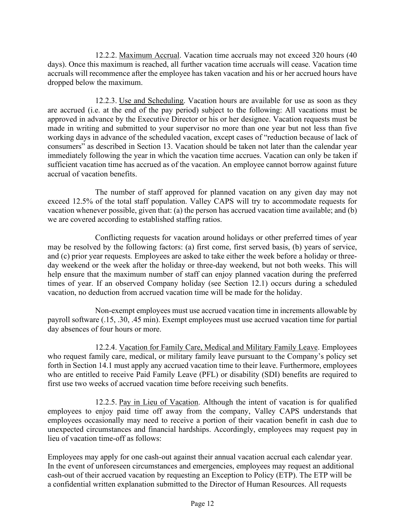12.2.2. Maximum Accrual. Vacation time accruals may not exceed 320 hours (40 days). Once this maximum is reached, all further vacation time accruals will cease. Vacation time accruals will recommence after the employee has taken vacation and his or her accrued hours have dropped below the maximum.

12.2.3. Use and Scheduling. Vacation hours are available for use as soon as they are accrued (i.e. at the end of the pay period) subject to the following: All vacations must be approved in advance by the Executive Director or his or her designee. Vacation requests must be made in writing and submitted to your supervisor no more than one year but not less than five working days in advance of the scheduled vacation, except cases of "reduction because of lack of consumers" as described in Section 13. Vacation should be taken not later than the calendar year immediately following the year in which the vacation time accrues. Vacation can only be taken if sufficient vacation time has accrued as of the vacation. An employee cannot borrow against future accrual of vacation benefits.

The number of staff approved for planned vacation on any given day may not exceed 12.5% of the total staff population. Valley CAPS will try to accommodate requests for vacation whenever possible, given that: (a) the person has accrued vacation time available; and (b) we are covered according to established staffing ratios.

Conflicting requests for vacation around holidays or other preferred times of year may be resolved by the following factors: (a) first come, first served basis, (b) years of service, and (c) prior year requests*.* Employees are asked to take either the week before a holiday or threeday weekend or the week after the holiday or three-day weekend, but not both weeks. This will help ensure that the maximum number of staff can enjoy planned vacation during the preferred times of year. If an observed Company holiday (see Section 12.1) occurs during a scheduled vacation, no deduction from accrued vacation time will be made for the holiday.

Non-exempt employees must use accrued vacation time in increments allowable by payroll software (.15, .30, .45 min). Exempt employees must use accrued vacation time for partial day absences of four hours or more.

12.2.4. Vacation for Family Care, Medical and Military Family Leave. Employees who request family care, medical, or military family leave pursuant to the Company's policy set forth in Section 14.1 must apply any accrued vacation time to their leave. Furthermore, employees who are entitled to receive Paid Family Leave (PFL) or disability (SDI) benefits are required to first use two weeks of accrued vacation time before receiving such benefits.

12.2.5. Pay in Lieu of Vacation. Although the intent of vacation is for qualified employees to enjoy paid time off away from the company, Valley CAPS understands that employees occasionally may need to receive a portion of their vacation benefit in cash due to unexpected circumstances and financial hardships. Accordingly, employees may request pay in lieu of vacation time-off as follows:

Employees may apply for one cash-out against their annual vacation accrual each calendar year. In the event of unforeseen circumstances and emergencies, employees may request an additional cash-out of their accrued vacation by requesting an Exception to Policy (ETP). The ETP will be a confidential written explanation submitted to the Director of Human Resources. All requests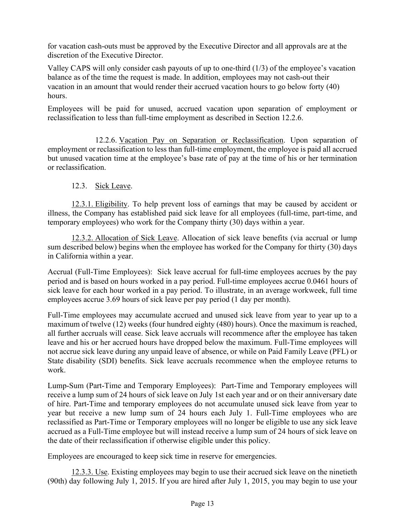for vacation cash-outs must be approved by the Executive Director and all approvals are at the discretion of the Executive Director.

Valley CAPS will only consider cash payouts of up to one-third (1/3) of the employee's vacation balance as of the time the request is made. In addition, employees may not cash-out their vacation in an amount that would render their accrued vacation hours to go below forty (40) hours.

Employees will be paid for unused, accrued vacation upon separation of employment or reclassification to less than full-time employment as described in Section 12.2.6.

12.2.6. Vacation Pay on Separation or Reclassification. Upon separation of employment or reclassification to less than full-time employment, the employee is paid all accrued but unused vacation time at the employee's base rate of pay at the time of his or her termination or reclassification.

## 12.3. Sick Leave.

12.3.1. Eligibility. To help prevent loss of earnings that may be caused by accident or illness, the Company has established paid sick leave for all employees (full-time, part-time, and temporary employees) who work for the Company thirty (30) days within a year.

12.3.2. Allocation of Sick Leave. Allocation of sick leave benefits (via accrual or lump sum described below) begins when the employee has worked for the Company for thirty (30) days in California within a year.

Accrual (Full-Time Employees): Sick leave accrual for full-time employees accrues by the pay period and is based on hours worked in a pay period. Full-time employees accrue 0.0461 hours of sick leave for each hour worked in a pay period. To illustrate, in an average workweek, full time employees accrue 3.69 hours of sick leave per pay period (1 day per month).

Full-Time employees may accumulate accrued and unused sick leave from year to year up to a maximum of twelve (12) weeks (four hundred eighty (480) hours). Once the maximum is reached, all further accruals will cease. Sick leave accruals will recommence after the employee has taken leave and his or her accrued hours have dropped below the maximum. Full-Time employees will not accrue sick leave during any unpaid leave of absence, or while on Paid Family Leave (PFL) or State disability (SDI) benefits. Sick leave accruals recommence when the employee returns to work.

Lump-Sum (Part-Time and Temporary Employees): Part-Time and Temporary employees will receive a lump sum of 24 hours of sick leave on July 1st each year and or on their anniversary date of hire. Part-Time and temporary employees do not accumulate unused sick leave from year to year but receive a new lump sum of 24 hours each July 1. Full-Time employees who are reclassified as Part-Time or Temporary employees will no longer be eligible to use any sick leave accrued as a Full-Time employee but will instead receive a lump sum of 24 hours of sick leave on the date of their reclassification if otherwise eligible under this policy.

Employees are encouraged to keep sick time in reserve for emergencies.

12.3.3. Use. Existing employees may begin to use their accrued sick leave on the ninetieth (90th) day following July 1, 2015. If you are hired after July 1, 2015, you may begin to use your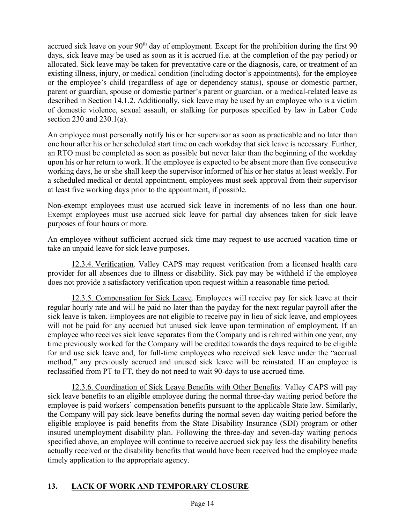accrued sick leave on your 90<sup>th</sup> day of employment. Except for the prohibition during the first 90 days, sick leave may be used as soon as it is accrued (i.e. at the completion of the pay period) or allocated. Sick leave may be taken for preventative care or the diagnosis, care, or treatment of an existing illness, injury, or medical condition (including doctor's appointments), for the employee or the employee's child (regardless of age or dependency status), spouse or domestic partner, parent or guardian, spouse or domestic partner's parent or guardian, or a medical-related leave as described in Section 14.1.2. Additionally, sick leave may be used by an employee who is a victim of domestic violence, sexual assault, or stalking for purposes specified by law in Labor Code section 230 and 230.1(a).

An employee must personally notify his or her supervisor as soon as practicable and no later than one hour after his or her scheduled start time on each workday that sick leave is necessary. Further, an RTO must be completed as soon as possible but never later than the beginning of the workday upon his or her return to work. If the employee is expected to be absent more than five consecutive working days, he or she shall keep the supervisor informed of his or her status at least weekly. For a scheduled medical or dental appointment, employees must seek approval from their supervisor at least five working days prior to the appointment, if possible.

Non-exempt employees must use accrued sick leave in increments of no less than one hour. Exempt employees must use accrued sick leave for partial day absences taken for sick leave purposes of four hours or more.

An employee without sufficient accrued sick time may request to use accrued vacation time or take an unpaid leave for sick leave purposes.

12.3.4. Verification. Valley CAPS may request verification from a licensed health care provider for all absences due to illness or disability. Sick pay may be withheld if the employee does not provide a satisfactory verification upon request within a reasonable time period.

12.3.5. Compensation for Sick Leave. Employees will receive pay for sick leave at their regular hourly rate and will be paid no later than the payday for the next regular payroll after the sick leave is taken. Employees are not eligible to receive pay in lieu of sick leave, and employees will not be paid for any accrued but unused sick leave upon termination of employment. If an employee who receives sick leave separates from the Company and is rehired within one year, any time previously worked for the Company will be credited towards the days required to be eligible for and use sick leave and, for full-time employees who received sick leave under the "accrual method," any previously accrued and unused sick leave will be reinstated. If an employee is reclassified from PT to FT, they do not need to wait 90-days to use accrued time.

12.3.6. Coordination of Sick Leave Benefits with Other Benefits. Valley CAPS will pay sick leave benefits to an eligible employee during the normal three-day waiting period before the employee is paid workers' compensation benefits pursuant to the applicable State law. Similarly, the Company will pay sick-leave benefits during the normal seven-day waiting period before the eligible employee is paid benefits from the State Disability Insurance (SDI) program or other insured unemployment disability plan. Following the three-day and seven-day waiting periods specified above, an employee will continue to receive accrued sick pay less the disability benefits actually received or the disability benefits that would have been received had the employee made timely application to the appropriate agency.

# **13. LACK OF WORK AND TEMPORARY CLOSURE**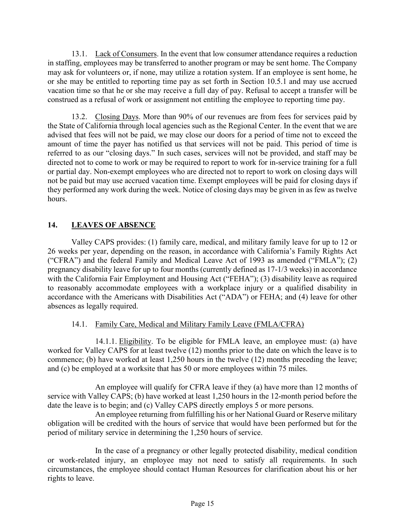13.1. Lack of Consumers. In the event that low consumer attendance requires a reduction in staffing, employees may be transferred to another program or may be sent home. The Company may ask for volunteers or, if none, may utilize a rotation system. If an employee is sent home, he or she may be entitled to reporting time pay as set forth in Section 10.5.1 and may use accrued vacation time so that he or she may receive a full day of pay. Refusal to accept a transfer will be construed as a refusal of work or assignment not entitling the employee to reporting time pay.

13.2. Closing Days. More than 90% of our revenues are from fees for services paid by the State of California through local agencies such as the Regional Center. In the event that we are advised that fees will not be paid, we may close our doors for a period of time not to exceed the amount of time the payer has notified us that services will not be paid. This period of time is referred to as our "closing days." In such cases, services will not be provided, and staff may be directed not to come to work or may be required to report to work for in-service training for a full or partial day. Non-exempt employees who are directed not to report to work on closing days will not be paid but may use accrued vacation time. Exempt employees will be paid for closing days if they performed any work during the week. Notice of closing days may be given in as few as twelve hours.

## **14. LEAVES OF ABSENCE**

Valley CAPS provides: (1) family care, medical, and military family leave for up to 12 or 26 weeks per year, depending on the reason, in accordance with California's Family Rights Act ("CFRA") and the federal Family and Medical Leave Act of 1993 as amended ("FMLA"); (2) pregnancy disability leave for up to four months (currently defined as 17-1/3 weeks) in accordance with the California Fair Employment and Housing Act ("FEHA"); (3) disability leave as required to reasonably accommodate employees with a workplace injury or a qualified disability in accordance with the Americans with Disabilities Act ("ADA") or FEHA; and (4) leave for other absences as legally required.

## 14.1. Family Care, Medical and Military Family Leave (FMLA/CFRA)

14.1.1. Eligibility. To be eligible for FMLA leave, an employee must: (a) have worked for Valley CAPS for at least twelve (12) months prior to the date on which the leave is to commence; (b) have worked at least 1,250 hours in the twelve (12) months preceding the leave; and (c) be employed at a worksite that has 50 or more employees within 75 miles.

An employee will qualify for CFRA leave if they (a) have more than 12 months of service with Valley CAPS; (b) have worked at least 1,250 hours in the 12-month period before the date the leave is to begin; and (c) Valley CAPS directly employs 5 or more persons.

An employee returning from fulfilling his or her National Guard or Reserve military obligation will be credited with the hours of service that would have been performed but for the period of military service in determining the 1,250 hours of service.

In the case of a pregnancy or other legally protected disability, medical condition or work-related injury, an employee may not need to satisfy all requirements. In such circumstances, the employee should contact Human Resources for clarification about his or her rights to leave.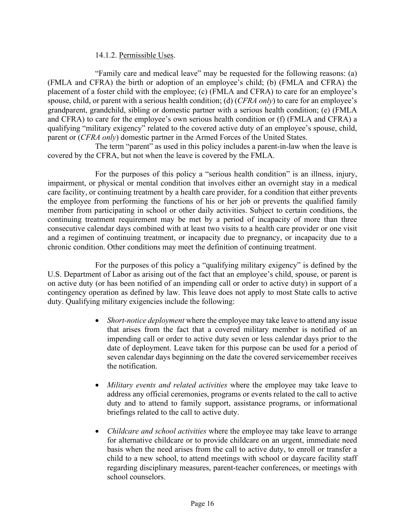#### 14.1.2. Permissible Uses.

"Family care and medical leave" may be requested for the following reasons: (a) (FMLA and CFRA) the birth or adoption of an employee's child; (b) (FMLA and CFRA) the placement of a foster child with the employee; (c) (FMLA and CFRA) to care for an employee's spouse, child, or parent with a serious health condition; (d) (*CFRA only*) to care for an employee's grandparent, grandchild, sibling or domestic partner with a serious health condition; (e) (FMLA and CFRA) to care for the employee's own serious health condition or (f) (FMLA and CFRA) a qualifying "military exigency" related to the covered active duty of an employee's spouse, child, parent or (*CFRA only*) domestic partner in the Armed Forces of the United States.

The term "parent" as used in this policy includes a parent-in-law when the leave is covered by the CFRA, but not when the leave is covered by the FMLA.

For the purposes of this policy a "serious health condition" is an illness, injury, impairment, or physical or mental condition that involves either an overnight stay in a medical care facility, or continuing treatment by a health care provider, for a condition that either prevents the employee from performing the functions of his or her job or prevents the qualified family member from participating in school or other daily activities. Subject to certain conditions, the continuing treatment requirement may be met by a period of incapacity of more than three consecutive calendar days combined with at least two visits to a health care provider or one visit and a regimen of continuing treatment, or incapacity due to pregnancy, or incapacity due to a chronic condition. Other conditions may meet the definition of continuing treatment.

For the purposes of this policy a "qualifying military exigency" is defined by the U.S. Department of Labor as arising out of the fact that an employee's child, spouse, or parent is on active duty (or has been notified of an impending call or order to active duty) in support of a contingency operation as defined by law. This leave does not apply to most State calls to active duty. Qualifying military exigencies include the following:

- *Short-notice deployment* where the employee may take leave to attend any issue that arises from the fact that a covered military member is notified of an impending call or order to active duty seven or less calendar days prior to the date of deployment. Leave taken for this purpose can be used for a period of seven calendar days beginning on the date the covered servicemember receives the notification.
- *Military events and related activities* where the employee may take leave to address any official ceremonies, programs or events related to the call to active duty and to attend to family support, assistance programs, or informational briefings related to the call to active duty.
- *Childcare and school activities* where the employee may take leave to arrange for alternative childcare or to provide childcare on an urgent, immediate need basis when the need arises from the call to active duty, to enroll or transfer a child to a new school, to attend meetings with school or daycare facility staff regarding disciplinary measures, parent-teacher conferences, or meetings with school counselors.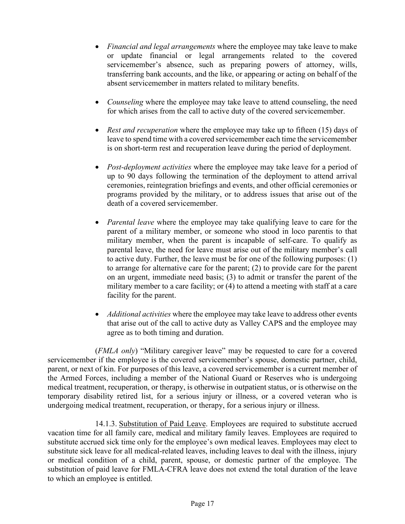- *Financial and legal arrangements* where the employee may take leave to make or update financial or legal arrangements related to the covered servicemember's absence, such as preparing powers of attorney, wills, transferring bank accounts, and the like, or appearing or acting on behalf of the absent servicemember in matters related to military benefits.
- *Counseling* where the employee may take leave to attend counseling, the need for which arises from the call to active duty of the covered servicemember.
- *Rest and recuperation* where the employee may take up to fifteen (15) days of leave to spend time with a covered servicemember each time the servicemember is on short-term rest and recuperation leave during the period of deployment.
- *Post-deployment activities* where the employee may take leave for a period of up to 90 days following the termination of the deployment to attend arrival ceremonies, reintegration briefings and events, and other official ceremonies or programs provided by the military, or to address issues that arise out of the death of a covered servicemember.
- *Parental leave* where the employee may take qualifying leave to care for the parent of a military member, or someone who stood in loco parentis to that military member, when the parent is incapable of self-care. To qualify as parental leave, the need for leave must arise out of the military member's call to active duty. Further, the leave must be for one of the following purposes: (1) to arrange for alternative care for the parent; (2) to provide care for the parent on an urgent, immediate need basis; (3) to admit or transfer the parent of the military member to a care facility; or (4) to attend a meeting with staff at a care facility for the parent.
- *Additional activities* where the employee may take leave to address other events that arise out of the call to active duty as Valley CAPS and the employee may agree as to both timing and duration.

(*FMLA only*) "Military caregiver leave" may be requested to care for a covered servicemember if the employee is the covered servicemember's spouse, domestic partner, child, parent, or next of kin. For purposes of this leave, a covered servicemember is a current member of the Armed Forces, including a member of the National Guard or Reserves who is undergoing medical treatment, recuperation, or therapy, is otherwise in outpatient status, or is otherwise on the temporary disability retired list, for a serious injury or illness, or a covered veteran who is undergoing medical treatment, recuperation, or therapy, for a serious injury or illness.

14.1.3. Substitution of Paid Leave. Employees are required to substitute accrued vacation time for all family care, medical and military family leaves. Employees are required to substitute accrued sick time only for the employee's own medical leaves. Employees may elect to substitute sick leave for all medical-related leaves, including leaves to deal with the illness, injury or medical condition of a child, parent, spouse, or domestic partner of the employee. The substitution of paid leave for FMLA-CFRA leave does not extend the total duration of the leave to which an employee is entitled.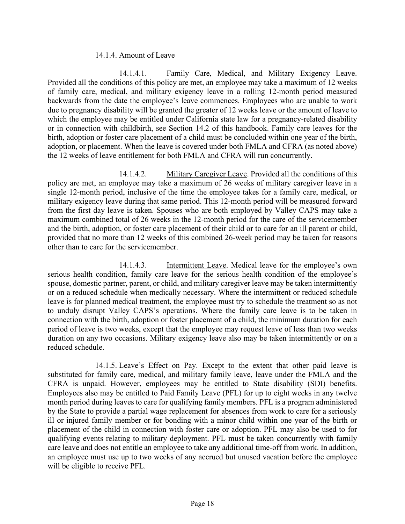#### 14.1.4. Amount of Leave

14.1.4.1. Family Care, Medical, and Military Exigency Leave. Provided all the conditions of this policy are met, an employee may take a maximum of 12 weeks of family care, medical, and military exigency leave in a rolling 12-month period measured backwards from the date the employee's leave commences. Employees who are unable to work due to pregnancy disability will be granted the greater of 12 weeks leave or the amount of leave to which the employee may be entitled under California state law for a pregnancy-related disability or in connection with childbirth, see Section 14.2 of this handbook. Family care leaves for the birth, adoption or foster care placement of a child must be concluded within one year of the birth, adoption, or placement. When the leave is covered under both FMLA and CFRA (as noted above) the 12 weeks of leave entitlement for both FMLA and CFRA will run concurrently.

14.1.4.2. Military Caregiver Leave. Provided all the conditions of this policy are met, an employee may take a maximum of 26 weeks of military caregiver leave in a single 12-month period, inclusive of the time the employee takes for a family care, medical, or military exigency leave during that same period. This 12-month period will be measured forward from the first day leave is taken. Spouses who are both employed by Valley CAPS may take a maximum combined total of 26 weeks in the 12-month period for the care of the servicemember and the birth, adoption, or foster care placement of their child or to care for an ill parent or child, provided that no more than 12 weeks of this combined 26-week period may be taken for reasons other than to care for the servicemember.

14.1.4.3. Intermittent Leave. Medical leave for the employee's own serious health condition, family care leave for the serious health condition of the employee's spouse, domestic partner, parent, or child, and military caregiver leave may be taken intermittently or on a reduced schedule when medically necessary. Where the intermittent or reduced schedule leave is for planned medical treatment, the employee must try to schedule the treatment so as not to unduly disrupt Valley CAPS's operations. Where the family care leave is to be taken in connection with the birth, adoption or foster placement of a child, the minimum duration for each period of leave is two weeks, except that the employee may request leave of less than two weeks duration on any two occasions. Military exigency leave also may be taken intermittently or on a reduced schedule.

14.1.5. Leave's Effect on Pay. Except to the extent that other paid leave is substituted for family care, medical, and military family leave, leave under the FMLA and the CFRA is unpaid. However, employees may be entitled to State disability (SDI) benefits. Employees also may be entitled to Paid Family Leave (PFL) for up to eight weeks in any twelve month period during leaves to care for qualifying family members. PFL is a program administered by the State to provide a partial wage replacement for absences from work to care for a seriously ill or injured family member or for bonding with a minor child within one year of the birth or placement of the child in connection with foster care or adoption. PFL may also be used to for qualifying events relating to military deployment. PFL must be taken concurrently with family care leave and does not entitle an employee to take any additional time-off from work. In addition, an employee must use up to two weeks of any accrued but unused vacation before the employee will be eligible to receive PFL.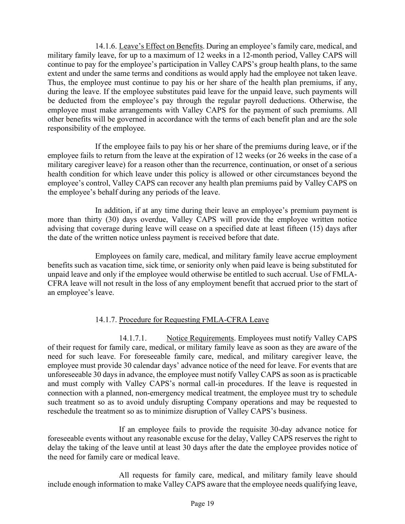14.1.6. Leave's Effect on Benefits. During an employee's family care, medical, and military family leave, for up to a maximum of 12 weeks in a 12-month period, Valley CAPS will continue to pay for the employee's participation in Valley CAPS's group health plans, to the same extent and under the same terms and conditions as would apply had the employee not taken leave. Thus, the employee must continue to pay his or her share of the health plan premiums, if any, during the leave. If the employee substitutes paid leave for the unpaid leave, such payments will be deducted from the employee's pay through the regular payroll deductions. Otherwise, the employee must make arrangements with Valley CAPS for the payment of such premiums. All other benefits will be governed in accordance with the terms of each benefit plan and are the sole responsibility of the employee.

If the employee fails to pay his or her share of the premiums during leave, or if the employee fails to return from the leave at the expiration of 12 weeks (or 26 weeks in the case of a military caregiver leave) for a reason other than the recurrence, continuation, or onset of a serious health condition for which leave under this policy is allowed or other circumstances beyond the employee's control, Valley CAPS can recover any health plan premiums paid by Valley CAPS on the employee's behalf during any periods of the leave.

In addition, if at any time during their leave an employee's premium payment is more than thirty (30) days overdue, Valley CAPS will provide the employee written notice advising that coverage during leave will cease on a specified date at least fifteen (15) days after the date of the written notice unless payment is received before that date.

Employees on family care, medical, and military family leave accrue employment benefits such as vacation time, sick time, or seniority only when paid leave is being substituted for unpaid leave and only if the employee would otherwise be entitled to such accrual. Use of FMLA-CFRA leave will not result in the loss of any employment benefit that accrued prior to the start of an employee's leave.

## 14.1.7. Procedure for Requesting FMLA-CFRA Leave

14.1.7.1. Notice Requirements. Employees must notify Valley CAPS of their request for family care, medical, or military family leave as soon as they are aware of the need for such leave. For foreseeable family care, medical, and military caregiver leave, the employee must provide 30 calendar days' advance notice of the need for leave. For events that are unforeseeable 30 days in advance, the employee must notify Valley CAPS as soon as is practicable and must comply with Valley CAPS's normal call-in procedures. If the leave is requested in connection with a planned, non-emergency medical treatment, the employee must try to schedule such treatment so as to avoid unduly disrupting Company operations and may be requested to reschedule the treatment so as to minimize disruption of Valley CAPS's business.

If an employee fails to provide the requisite 30-day advance notice for foreseeable events without any reasonable excuse for the delay, Valley CAPS reserves the right to delay the taking of the leave until at least 30 days after the date the employee provides notice of the need for family care or medical leave.

All requests for family care, medical, and military family leave should include enough information to make Valley CAPS aware that the employee needs qualifying leave,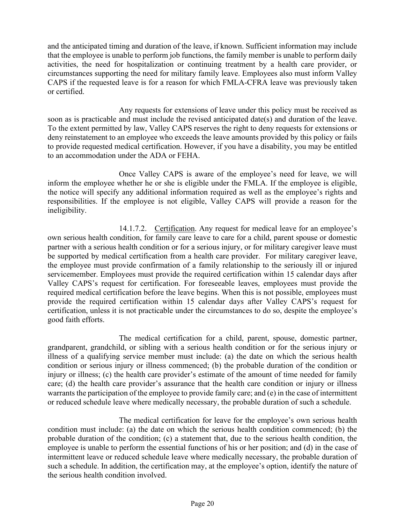and the anticipated timing and duration of the leave, if known. Sufficient information may include that the employee is unable to perform job functions, the family member is unable to perform daily activities, the need for hospitalization or continuing treatment by a health care provider, or circumstances supporting the need for military family leave. Employees also must inform Valley CAPS if the requested leave is for a reason for which FMLA-CFRA leave was previously taken or certified.

Any requests for extensions of leave under this policy must be received as soon as is practicable and must include the revised anticipated date(s) and duration of the leave. To the extent permitted by law, Valley CAPS reserves the right to deny requests for extensions or deny reinstatement to an employee who exceeds the leave amounts provided by this policy or fails to provide requested medical certification. However, if you have a disability, you may be entitled to an accommodation under the ADA or FEHA.

Once Valley CAPS is aware of the employee's need for leave, we will inform the employee whether he or she is eligible under the FMLA. If the employee is eligible, the notice will specify any additional information required as well as the employee's rights and responsibilities. If the employee is not eligible, Valley CAPS will provide a reason for the ineligibility.

14.1.7.2. Certification. Any request for medical leave for an employee's own serious health condition, for family care leave to care for a child, parent spouse or domestic partner with a serious health condition or for a serious injury, or for military caregiver leave must be supported by medical certification from a health care provider. For military caregiver leave, the employee must provide confirmation of a family relationship to the seriously ill or injured servicemember. Employees must provide the required certification within 15 calendar days after Valley CAPS's request for certification. For foreseeable leaves, employees must provide the required medical certification before the leave begins. When this is not possible, employees must provide the required certification within 15 calendar days after Valley CAPS's request for certification, unless it is not practicable under the circumstances to do so, despite the employee's good faith efforts.

The medical certification for a child, parent, spouse, domestic partner, grandparent, grandchild, or sibling with a serious health condition or for the serious injury or illness of a qualifying service member must include: (a) the date on which the serious health condition or serious injury or illness commenced; (b) the probable duration of the condition or injury or illness; (c) the health care provider's estimate of the amount of time needed for family care; (d) the health care provider's assurance that the health care condition or injury or illness warrants the participation of the employee to provide family care; and (e) in the case of intermittent or reduced schedule leave where medically necessary, the probable duration of such a schedule.

The medical certification for leave for the employee's own serious health condition must include: (a) the date on which the serious health condition commenced; (b) the probable duration of the condition; (c) a statement that, due to the serious health condition, the employee is unable to perform the essential functions of his or her position; and (d) in the case of intermittent leave or reduced schedule leave where medically necessary, the probable duration of such a schedule. In addition, the certification may, at the employee's option, identify the nature of the serious health condition involved.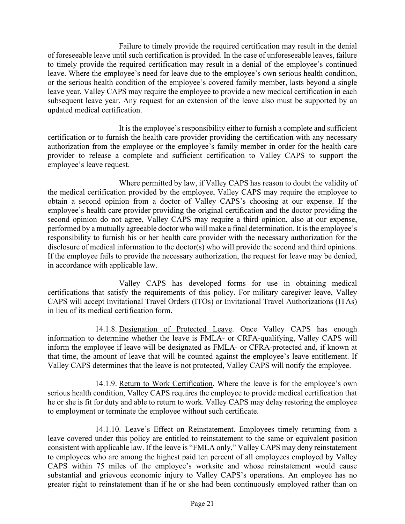Failure to timely provide the required certification may result in the denial of foreseeable leave until such certification is provided. In the case of unforeseeable leaves, failure to timely provide the required certification may result in a denial of the employee's continued leave. Where the employee's need for leave due to the employee's own serious health condition, or the serious health condition of the employee's covered family member, lasts beyond a single leave year, Valley CAPS may require the employee to provide a new medical certification in each subsequent leave year. Any request for an extension of the leave also must be supported by an updated medical certification.

It is the employee's responsibility either to furnish a complete and sufficient certification or to furnish the health care provider providing the certification with any necessary authorization from the employee or the employee's family member in order for the health care provider to release a complete and sufficient certification to Valley CAPS to support the employee's leave request.

Where permitted by law, if Valley CAPS has reason to doubt the validity of the medical certification provided by the employee, Valley CAPS may require the employee to obtain a second opinion from a doctor of Valley CAPS's choosing at our expense. If the employee's health care provider providing the original certification and the doctor providing the second opinion do not agree, Valley CAPS may require a third opinion, also at our expense, performed by a mutually agreeable doctor who will make a final determination. It is the employee's responsibility to furnish his or her health care provider with the necessary authorization for the disclosure of medical information to the doctor(s) who will provide the second and third opinions. If the employee fails to provide the necessary authorization, the request for leave may be denied, in accordance with applicable law.

Valley CAPS has developed forms for use in obtaining medical certifications that satisfy the requirements of this policy. For military caregiver leave, Valley CAPS will accept Invitational Travel Orders (ITOs) or Invitational Travel Authorizations (ITAs) in lieu of its medical certification form.

14.1.8. Designation of Protected Leave. Once Valley CAPS has enough information to determine whether the leave is FMLA- or CRFA-qualifying, Valley CAPS will inform the employee if leave will be designated as FMLA- or CFRA-protected and, if known at that time, the amount of leave that will be counted against the employee's leave entitlement. If Valley CAPS determines that the leave is not protected, Valley CAPS will notify the employee.

14.1.9. Return to Work Certification. Where the leave is for the employee's own serious health condition, Valley CAPS requires the employee to provide medical certification that he or she is fit for duty and able to return to work. Valley CAPS may delay restoring the employee to employment or terminate the employee without such certificate.

14.1.10. Leave's Effect on Reinstatement. Employees timely returning from a leave covered under this policy are entitled to reinstatement to the same or equivalent position consistent with applicable law. If the leave is "FMLA only," Valley CAPS may deny reinstatement to employees who are among the highest paid ten percent of all employees employed by Valley CAPS within 75 miles of the employee's worksite and whose reinstatement would cause substantial and grievous economic injury to Valley CAPS's operations. An employee has no greater right to reinstatement than if he or she had been continuously employed rather than on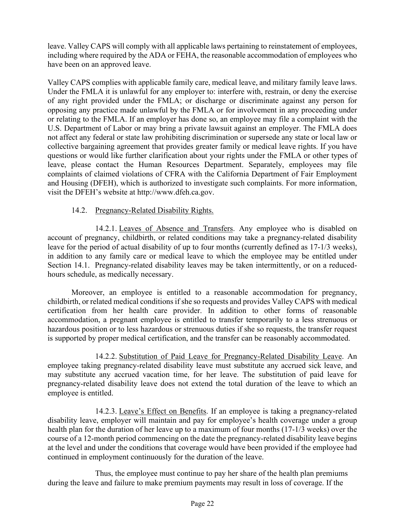leave. Valley CAPS will comply with all applicable laws pertaining to reinstatement of employees, including where required by the ADA or FEHA, the reasonable accommodation of employees who have been on an approved leave.

Valley CAPS complies with applicable family care, medical leave, and military family leave laws. Under the FMLA it is unlawful for any employer to: interfere with, restrain, or deny the exercise of any right provided under the FMLA; or discharge or discriminate against any person for opposing any practice made unlawful by the FMLA or for involvement in any proceeding under or relating to the FMLA. If an employer has done so, an employee may file a complaint with the U.S. Department of Labor or may bring a private lawsuit against an employer. The FMLA does not affect any federal or state law prohibiting discrimination or supersede any state or local law or collective bargaining agreement that provides greater family or medical leave rights. If you have questions or would like further clarification about your rights under the FMLA or other types of leave, please contact the Human Resources Department. Separately, employees may file complaints of claimed violations of CFRA with the California Department of Fair Employment and Housing (DFEH), which is authorized to investigate such complaints. For more information, visit the DFEH's website at http://www.dfeh.ca.gov.

## 14.2. Pregnancy-Related Disability Rights.

14.2.1. Leaves of Absence and Transfers. Any employee who is disabled on account of pregnancy, childbirth, or related conditions may take a pregnancy-related disability leave for the period of actual disability of up to four months (currently defined as 17-1/3 weeks), in addition to any family care or medical leave to which the employee may be entitled under Section 14.1. Pregnancy-related disability leaves may be taken intermittently, or on a reducedhours schedule, as medically necessary.

Moreover, an employee is entitled to a reasonable accommodation for pregnancy, childbirth, or related medical conditions if she so requests and provides Valley CAPS with medical certification from her health care provider. In addition to other forms of reasonable accommodation, a pregnant employee is entitled to transfer temporarily to a less strenuous or hazardous position or to less hazardous or strenuous duties if she so requests, the transfer request is supported by proper medical certification, and the transfer can be reasonably accommodated.

14.2.2. Substitution of Paid Leave for Pregnancy-Related Disability Leave. An employee taking pregnancy-related disability leave must substitute any accrued sick leave, and may substitute any accrued vacation time, for her leave. The substitution of paid leave for pregnancy-related disability leave does not extend the total duration of the leave to which an employee is entitled.

14.2.3. Leave's Effect on Benefits. If an employee is taking a pregnancy-related disability leave, employer will maintain and pay for employee's health coverage under a group health plan for the duration of her leave up to a maximum of four months (17-1/3 weeks) over the course of a 12-month period commencing on the date the pregnancy-related disability leave begins at the level and under the conditions that coverage would have been provided if the employee had continued in employment continuously for the duration of the leave.

Thus, the employee must continue to pay her share of the health plan premiums during the leave and failure to make premium payments may result in loss of coverage. If the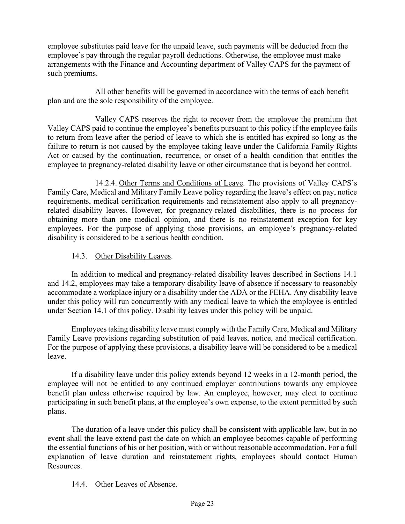employee substitutes paid leave for the unpaid leave, such payments will be deducted from the employee's pay through the regular payroll deductions. Otherwise, the employee must make arrangements with the Finance and Accounting department of Valley CAPS for the payment of such premiums.

All other benefits will be governed in accordance with the terms of each benefit plan and are the sole responsibility of the employee.

Valley CAPS reserves the right to recover from the employee the premium that Valley CAPS paid to continue the employee's benefits pursuant to this policy if the employee fails to return from leave after the period of leave to which she is entitled has expired so long as the failure to return is not caused by the employee taking leave under the California Family Rights Act or caused by the continuation, recurrence, or onset of a health condition that entitles the employee to pregnancy-related disability leave or other circumstance that is beyond her control.

14.2.4. Other Terms and Conditions of Leave. The provisions of Valley CAPS's Family Care, Medical and Military Family Leave policy regarding the leave's effect on pay, notice requirements, medical certification requirements and reinstatement also apply to all pregnancyrelated disability leaves. However, for pregnancy-related disabilities, there is no process for obtaining more than one medical opinion, and there is no reinstatement exception for key employees. For the purpose of applying those provisions, an employee's pregnancy-related disability is considered to be a serious health condition.

#### 14.3. Other Disability Leaves.

In addition to medical and pregnancy-related disability leaves described in Sections 14.1 and 14.2, employees may take a temporary disability leave of absence if necessary to reasonably accommodate a workplace injury or a disability under the ADA or the FEHA. Any disability leave under this policy will run concurrently with any medical leave to which the employee is entitled under Section 14.1 of this policy. Disability leaves under this policy will be unpaid.

Employees taking disability leave must comply with the Family Care, Medical and Military Family Leave provisions regarding substitution of paid leaves, notice, and medical certification. For the purpose of applying these provisions, a disability leave will be considered to be a medical leave.

If a disability leave under this policy extends beyond 12 weeks in a 12-month period, the employee will not be entitled to any continued employer contributions towards any employee benefit plan unless otherwise required by law. An employee, however, may elect to continue participating in such benefit plans, at the employee's own expense, to the extent permitted by such plans.

The duration of a leave under this policy shall be consistent with applicable law, but in no event shall the leave extend past the date on which an employee becomes capable of performing the essential functions of his or her position, with or without reasonable accommodation. For a full explanation of leave duration and reinstatement rights, employees should contact Human Resources.

## 14.4. Other Leaves of Absence.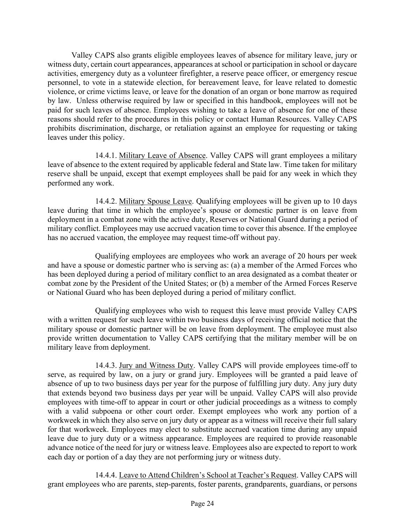Valley CAPS also grants eligible employees leaves of absence for military leave, jury or witness duty, certain court appearances, appearances at school or participation in school or daycare activities, emergency duty as a volunteer firefighter, a reserve peace officer, or emergency rescue personnel, to vote in a statewide election, for bereavement leave, for leave related to domestic violence, or crime victims leave, or leave for the donation of an organ or bone marrow as required by law. Unless otherwise required by law or specified in this handbook, employees will not be paid for such leaves of absence. Employees wishing to take a leave of absence for one of these reasons should refer to the procedures in this policy or contact Human Resources. Valley CAPS prohibits discrimination, discharge, or retaliation against an employee for requesting or taking leaves under this policy.

14.4.1. Military Leave of Absence. Valley CAPS will grant employees a military leave of absence to the extent required by applicable federal and State law. Time taken for military reserve shall be unpaid, except that exempt employees shall be paid for any week in which they performed any work.

14.4.2. Military Spouse Leave. Qualifying employees will be given up to 10 days leave during that time in which the employee's spouse or domestic partner is on leave from deployment in a combat zone with the active duty, Reserves or National Guard during a period of military conflict. Employees may use accrued vacation time to cover this absence. If the employee has no accrued vacation, the employee may request time-off without pay.

Qualifying employees are employees who work an average of 20 hours per week and have a spouse or domestic partner who is serving as: (a) a member of the Armed Forces who has been deployed during a period of military conflict to an area designated as a combat theater or combat zone by the President of the United States; or (b) a member of the Armed Forces Reserve or National Guard who has been deployed during a period of military conflict.

Qualifying employees who wish to request this leave must provide Valley CAPS with a written request for such leave within two business days of receiving official notice that the military spouse or domestic partner will be on leave from deployment. The employee must also provide written documentation to Valley CAPS certifying that the military member will be on military leave from deployment.

14.4.3. Jury and Witness Duty. Valley CAPS will provide employees time-off to serve, as required by law, on a jury or grand jury. Employees will be granted a paid leave of absence of up to two business days per year for the purpose of fulfilling jury duty. Any jury duty that extends beyond two business days per year will be unpaid. Valley CAPS will also provide employees with time-off to appear in court or other judicial proceedings as a witness to comply with a valid subpoena or other court order. Exempt employees who work any portion of a workweek in which they also serve on jury duty or appear as a witness will receive their full salary for that workweek. Employees may elect to substitute accrued vacation time during any unpaid leave due to jury duty or a witness appearance. Employees are required to provide reasonable advance notice of the need for jury or witness leave. Employees also are expected to report to work each day or portion of a day they are not performing jury or witness duty.

14.4.4. Leave to Attend Children's School at Teacher's Request. Valley CAPS will grant employees who are parents, step-parents, foster parents, grandparents, guardians, or persons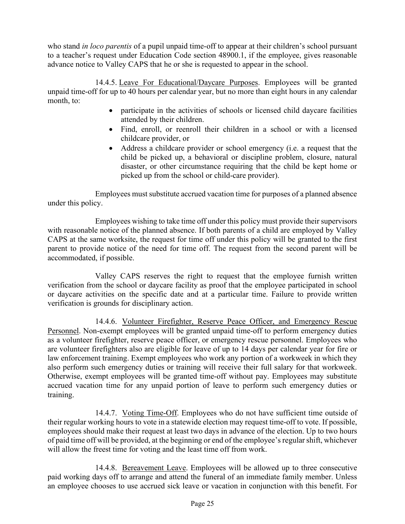who stand *in loco parentis* of a pupil unpaid time-off to appear at their children's school pursuant to a teacher's request under Education Code section 48900.1, if the employee, gives reasonable advance notice to Valley CAPS that he or she is requested to appear in the school.

14.4.5. Leave For Educational/Daycare Purposes. Employees will be granted unpaid time-off for up to 40 hours per calendar year, but no more than eight hours in any calendar month, to:

- participate in the activities of schools or licensed child daycare facilities attended by their children.
- Find, enroll, or reenroll their children in a school or with a licensed childcare provider, or
- Address a childcare provider or school emergency (i.e. a request that the child be picked up, a behavioral or discipline problem, closure, natural disaster, or other circumstance requiring that the child be kept home or picked up from the school or child-care provider).

Employees must substitute accrued vacation time for purposes of a planned absence under this policy.

Employees wishing to take time off under this policy must provide their supervisors with reasonable notice of the planned absence. If both parents of a child are employed by Valley CAPS at the same worksite, the request for time off under this policy will be granted to the first parent to provide notice of the need for time off. The request from the second parent will be accommodated, if possible.

Valley CAPS reserves the right to request that the employee furnish written verification from the school or daycare facility as proof that the employee participated in school or daycare activities on the specific date and at a particular time. Failure to provide written verification is grounds for disciplinary action.

14.4.6. Volunteer Firefighter, Reserve Peace Officer, and Emergency Rescue Personnel. Non-exempt employees will be granted unpaid time-off to perform emergency duties as a volunteer firefighter, reserve peace officer, or emergency rescue personnel. Employees who are volunteer firefighters also are eligible for leave of up to 14 days per calendar year for fire or law enforcement training. Exempt employees who work any portion of a workweek in which they also perform such emergency duties or training will receive their full salary for that workweek. Otherwise, exempt employees will be granted time-off without pay. Employees may substitute accrued vacation time for any unpaid portion of leave to perform such emergency duties or training.

14.4.7. Voting Time-Off. Employees who do not have sufficient time outside of their regular working hours to vote in a statewide election may request time-off to vote. If possible, employees should make their request at least two days in advance of the election. Up to two hours of paid time off will be provided, at the beginning or end of the employee's regular shift, whichever will allow the freest time for voting and the least time off from work.

14.4.8. Bereavement Leave. Employees will be allowed up to three consecutive paid working days off to arrange and attend the funeral of an immediate family member. Unless an employee chooses to use accrued sick leave or vacation in conjunction with this benefit. For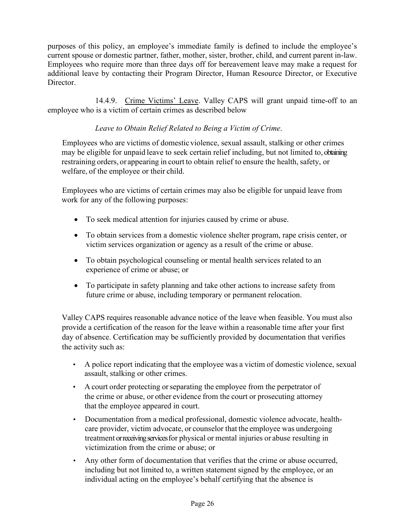purposes of this policy, an employee's immediate family is defined to include the employee's current spouse or domestic partner, father, mother, sister, brother, child, and current parent in-law. Employees who require more than three days off for bereavement leave may make a request for additional leave by contacting their Program Director, Human Resource Director, or Executive Director.

14.4.9. Crime Victims' Leave. Valley CAPS will grant unpaid time-off to an employee who is a victim of certain crimes as described below

## *Leave to Obtain Relief Related to Being a Victim of Crime*.

Employees who are victims of domestic violence, sexual assault, stalking or other crimes may be eligible for unpaid leave to seek certain relief including, but not limited to, obtaining restraining orders, or appearing in court to obtain relief to ensure the health, safety, or welfare, of the employee or their child.

Employees who are victims of certain crimes may also be eligible for unpaid leave from work for any of the following purposes:

- To seek medical attention for injuries caused by crime or abuse.
- To obtain services from a domestic violence shelter program, rape crisis center, or victim services organization or agency as a result of the crime or abuse.
- To obtain psychological counseling or mental health services related to an experience of crime or abuse; or
- To participate in safety planning and take other actions to increase safety from future crime or abuse, including temporary or permanent relocation.

Valley CAPS requires reasonable advance notice of the leave when feasible. You must also provide a certification of the reason for the leave within a reasonable time after your first day of absence. Certification may be sufficiently provided by documentation that verifies the activity such as:

- A police report indicating that the employee was a victim of domestic violence, sexual assault, stalking or other crimes.
- A court order protecting orseparating the employee from the perpetrator of the crime or abuse, or other evidence from the court or prosecuting attorney that the employee appeared in court.
- Documentation from a medical professional, domestic violence advocate, healthcare provider, victim advocate, or counselor that the employee was undergoing treatment or receiving services for physical or mental injuries or abuse resulting in victimization from the crime or abuse; or
- Any other form of documentation that verifies that the crime or abuse occurred, including but not limited to, a written statement signed by the employee, or an individual acting on the employee's behalf certifying that the absence is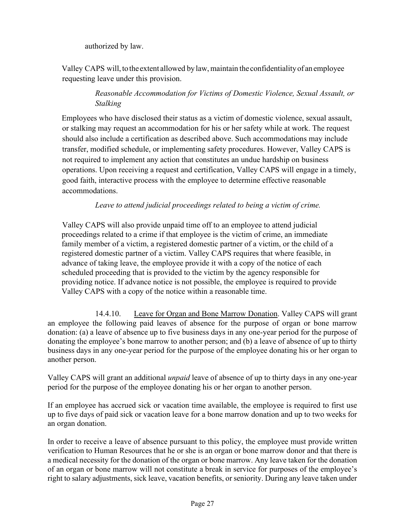authorized by law.

Valley CAPS will, to the extent allowed by law, maintain the confidentiality of an employee requesting leave under this provision.

# *Reasonable Accommodation for Victims of Domestic Violence, Sexual Assault, or Stalking*

Employees who have disclosed their status as a victim of domestic violence, sexual assault, or stalking may request an accommodation for his or her safety while at work. The request should also include a certification as described above. Such accommodations may include transfer, modified schedule, or implementing safety procedures. However, Valley CAPS is not required to implement any action that constitutes an undue hardship on business operations. Upon receiving a request and certification, Valley CAPS will engage in a timely, good faith, interactive process with the employee to determine effective reasonable accommodations.

## *Leave to attend judicial proceedings related to being a victim of crime.*

Valley CAPS will also provide unpaid time off to an employee to attend judicial proceedings related to a crime if that employee is the victim of crime, an immediate family member of a victim, a registered domestic partner of a victim, or the child of a registered domestic partner of a victim. Valley CAPS requires that where feasible, in advance of taking leave, the employee provide it with a copy of the notice of each scheduled proceeding that is provided to the victim by the agency responsible for providing notice. If advance notice is not possible, the employee is required to provide Valley CAPS with a copy of the notice within a reasonable time.

14.4.10. Leave for Organ and Bone Marrow Donation. Valley CAPS will grant an employee the following paid leaves of absence for the purpose of organ or bone marrow donation: (a) a leave of absence up to five business days in any one-year period for the purpose of donating the employee's bone marrow to another person; and (b) a leave of absence of up to thirty business days in any one-year period for the purpose of the employee donating his or her organ to another person.

Valley CAPS will grant an additional *unpaid* leave of absence of up to thirty days in any one-year period for the purpose of the employee donating his or her organ to another person.

If an employee has accrued sick or vacation time available, the employee is required to first use up to five days of paid sick or vacation leave for a bone marrow donation and up to two weeks for an organ donation.

In order to receive a leave of absence pursuant to this policy, the employee must provide written verification to Human Resources that he or she is an organ or bone marrow donor and that there is a medical necessity for the donation of the organ or bone marrow. Any leave taken for the donation of an organ or bone marrow will not constitute a break in service for purposes of the employee's right to salary adjustments, sick leave, vacation benefits, or seniority. During any leave taken under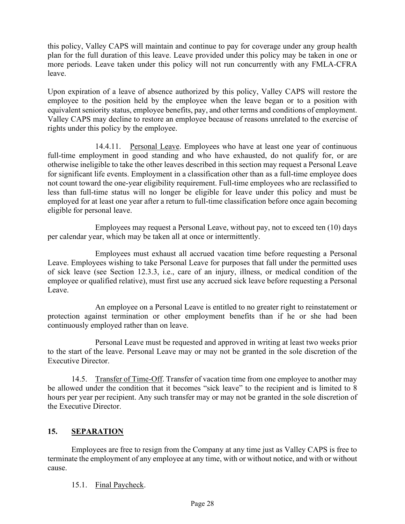this policy, Valley CAPS will maintain and continue to pay for coverage under any group health plan for the full duration of this leave. Leave provided under this policy may be taken in one or more periods. Leave taken under this policy will not run concurrently with any FMLA-CFRA leave.

Upon expiration of a leave of absence authorized by this policy, Valley CAPS will restore the employee to the position held by the employee when the leave began or to a position with equivalent seniority status, employee benefits, pay, and other terms and conditions of employment. Valley CAPS may decline to restore an employee because of reasons unrelated to the exercise of rights under this policy by the employee.

14.4.11. Personal Leave. Employees who have at least one year of continuous full-time employment in good standing and who have exhausted, do not qualify for, or are otherwise ineligible to take the other leaves described in this section may request a Personal Leave for significant life events. Employment in a classification other than as a full-time employee does not count toward the one-year eligibility requirement. Full-time employees who are reclassified to less than full-time status will no longer be eligible for leave under this policy and must be employed for at least one year after a return to full-time classification before once again becoming eligible for personal leave.

Employees may request a Personal Leave, without pay, not to exceed ten (10) days per calendar year, which may be taken all at once or intermittently.

Employees must exhaust all accrued vacation time before requesting a Personal Leave. Employees wishing to take Personal Leave for purposes that fall under the permitted uses of sick leave (see Section 12.3.3, i.e., care of an injury, illness, or medical condition of the employee or qualified relative), must first use any accrued sick leave before requesting a Personal Leave.

An employee on a Personal Leave is entitled to no greater right to reinstatement or protection against termination or other employment benefits than if he or she had been continuously employed rather than on leave.

Personal Leave must be requested and approved in writing at least two weeks prior to the start of the leave. Personal Leave may or may not be granted in the sole discretion of the Executive Director.

14.5. Transfer of Time-Off. Transfer of vacation time from one employee to another may be allowed under the condition that it becomes "sick leave" to the recipient and is limited to 8 hours per year per recipient. Any such transfer may or may not be granted in the sole discretion of the Executive Director.

# **15. SEPARATION**

Employees are free to resign from the Company at any time just as Valley CAPS is free to terminate the employment of any employee at any time, with or without notice, and with or without cause.

15.1. Final Paycheck.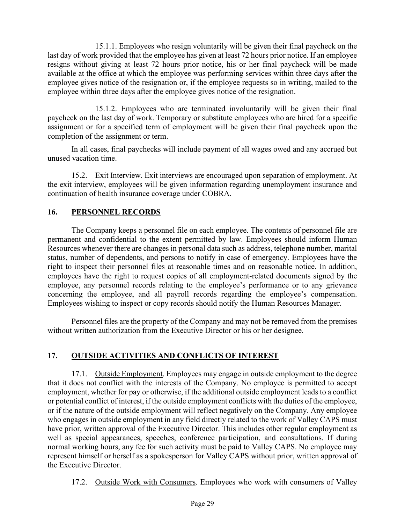15.1.1. Employees who resign voluntarily will be given their final paycheck on the last day of work provided that the employee has given at least 72 hours prior notice. If an employee resigns without giving at least 72 hours prior notice, his or her final paycheck will be made available at the office at which the employee was performing services within three days after the employee gives notice of the resignation or, if the employee requests so in writing, mailed to the employee within three days after the employee gives notice of the resignation.

15.1.2. Employees who are terminated involuntarily will be given their final paycheck on the last day of work. Temporary or substitute employees who are hired for a specific assignment or for a specified term of employment will be given their final paycheck upon the completion of the assignment or term.

In all cases, final paychecks will include payment of all wages owed and any accrued but unused vacation time.

15.2. Exit Interview. Exit interviews are encouraged upon separation of employment. At the exit interview, employees will be given information regarding unemployment insurance and continuation of health insurance coverage under COBRA.

## **16. PERSONNEL RECORDS**

The Company keeps a personnel file on each employee. The contents of personnel file are permanent and confidential to the extent permitted by law. Employees should inform Human Resources whenever there are changes in personal data such as address, telephone number, marital status, number of dependents, and persons to notify in case of emergency. Employees have the right to inspect their personnel files at reasonable times and on reasonable notice. In addition, employees have the right to request copies of all employment-related documents signed by the employee, any personnel records relating to the employee's performance or to any grievance concerning the employee, and all payroll records regarding the employee's compensation. Employees wishing to inspect or copy records should notify the Human Resources Manager.

Personnel files are the property of the Company and may not be removed from the premises without written authorization from the Executive Director or his or her designee.

## **17. OUTSIDE ACTIVITIES AND CONFLICTS OF INTEREST**

17.1. Outside Employment. Employees may engage in outside employment to the degree that it does not conflict with the interests of the Company. No employee is permitted to accept employment, whether for pay or otherwise, if the additional outside employment leads to a conflict or potential conflict of interest, if the outside employment conflicts with the duties of the employee, or if the nature of the outside employment will reflect negatively on the Company. Any employee who engages in outside employment in any field directly related to the work of Valley CAPS must have prior, written approval of the Executive Director. This includes other regular employment as well as special appearances, speeches, conference participation, and consultations. If during normal working hours, any fee for such activity must be paid to Valley CAPS. No employee may represent himself or herself as a spokesperson for Valley CAPS without prior, written approval of the Executive Director.

17.2. Outside Work with Consumers. Employees who work with consumers of Valley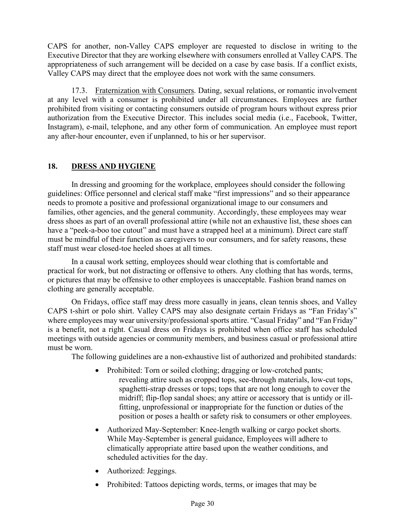CAPS for another, non-Valley CAPS employer are requested to disclose in writing to the Executive Director that they are working elsewhere with consumers enrolled at Valley CAPS. The appropriateness of such arrangement will be decided on a case by case basis. If a conflict exists, Valley CAPS may direct that the employee does not work with the same consumers.

17.3. Fraternization with Consumers. Dating, sexual relations, or romantic involvement at any level with a consumer is prohibited under all circumstances. Employees are further prohibited from visiting or contacting consumers outside of program hours without express prior authorization from the Executive Director. This includes social media (i.e., Facebook, Twitter, Instagram), e-mail, telephone, and any other form of communication. An employee must report any after-hour encounter, even if unplanned, to his or her supervisor.

## **18. DRESS AND HYGIENE**

In dressing and grooming for the workplace, employees should consider the following guidelines: Office personnel and clerical staff make "first impressions" and so their appearance needs to promote a positive and professional organizational image to our consumers and families, other agencies, and the general community. Accordingly, these employees may wear dress shoes as part of an overall professional attire (while not an exhaustive list, these shoes can have a "peek-a-boo toe cutout" and must have a strapped heel at a minimum). Direct care staff must be mindful of their function as caregivers to our consumers, and for safety reasons, these staff must wear closed-toe heeled shoes at all times.

In a causal work setting, employees should wear clothing that is comfortable and practical for work, but not distracting or offensive to others. Any clothing that has words, terms, or pictures that may be offensive to other employees is unacceptable. Fashion brand names on clothing are generally acceptable.

On Fridays, office staff may dress more casually in jeans, clean tennis shoes, and Valley CAPS t-shirt or polo shirt. Valley CAPS may also designate certain Fridays as "Fan Friday's" where employees may wear university/professional sports attire. "Casual Friday" and "Fan Friday" is a benefit, not a right. Casual dress on Fridays is prohibited when office staff has scheduled meetings with outside agencies or community members, and business casual or professional attire must be worn.

The following guidelines are a non-exhaustive list of authorized and prohibited standards:

- Prohibited: Torn or soiled clothing; dragging or low-crotched pants; revealing attire such as cropped tops, see-through materials, low-cut tops, spaghetti-strap dresses or tops; tops that are not long enough to cover the midriff; flip-flop sandal shoes; any attire or accessory that is untidy or illfitting, unprofessional or inappropriate for the function or duties of the position or poses a health or safety risk to consumers or other employees.
- Authorized May-September: Knee-length walking or cargo pocket shorts. While May-September is general guidance, Employees will adhere to climatically appropriate attire based upon the weather conditions, and scheduled activities for the day.
- Authorized: Jeggings.
- Prohibited: Tattoos depicting words, terms, or images that may be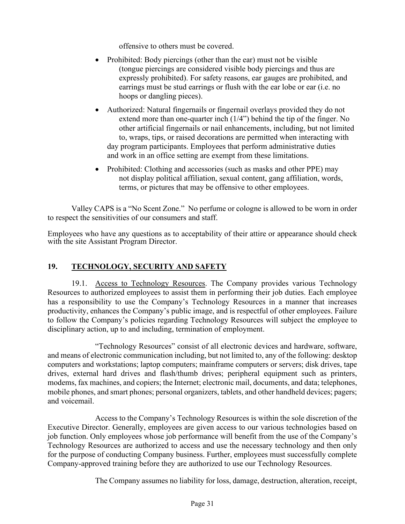offensive to others must be covered.

- Prohibited: Body piercings (other than the ear) must not be visible (tongue piercings are considered visible body piercings and thus are expressly prohibited). For safety reasons, ear gauges are prohibited, and earrings must be stud earrings or flush with the ear lobe or ear (i.e. no hoops or dangling pieces).
- Authorized: Natural fingernails or fingernail overlays provided they do not extend more than one-quarter inch (1/4") behind the tip of the finger. No other artificial fingernails or nail enhancements, including, but not limited to, wraps, tips, or raised decorations are permitted when interacting with day program participants. Employees that perform administrative duties and work in an office setting are exempt from these limitations.
- Prohibited: Clothing and accessories (such as masks and other PPE) may not display political affiliation, sexual content, gang affiliation, words, terms, or pictures that may be offensive to other employees.

Valley CAPS is a "No Scent Zone." No perfume or cologne is allowed to be worn in order to respect the sensitivities of our consumers and staff.

Employees who have any questions as to acceptability of their attire or appearance should check with the site Assistant Program Director.

## **19. TECHNOLOGY, SECURITY AND SAFETY**

19.1. Access to Technology Resources. The Company provides various Technology Resources to authorized employees to assist them in performing their job duties. Each employee has a responsibility to use the Company's Technology Resources in a manner that increases productivity, enhances the Company's public image, and is respectful of other employees. Failure to follow the Company's policies regarding Technology Resources will subject the employee to disciplinary action, up to and including, termination of employment.

"Technology Resources" consist of all electronic devices and hardware, software, and means of electronic communication including, but not limited to, any of the following: desktop computers and workstations; laptop computers; mainframe computers or servers; disk drives, tape drives, external hard drives and flash/thumb drives; peripheral equipment such as printers, modems, fax machines, and copiers; the Internet; electronic mail, documents, and data; telephones, mobile phones, and smart phones; personal organizers, tablets, and other handheld devices; pagers; and voicemail.

Access to the Company's Technology Resources is within the sole discretion of the Executive Director. Generally, employees are given access to our various technologies based on job function. Only employees whose job performance will benefit from the use of the Company's Technology Resources are authorized to access and use the necessary technology and then only for the purpose of conducting Company business. Further, employees must successfully complete Company-approved training before they are authorized to use our Technology Resources.

The Company assumes no liability for loss, damage, destruction, alteration, receipt,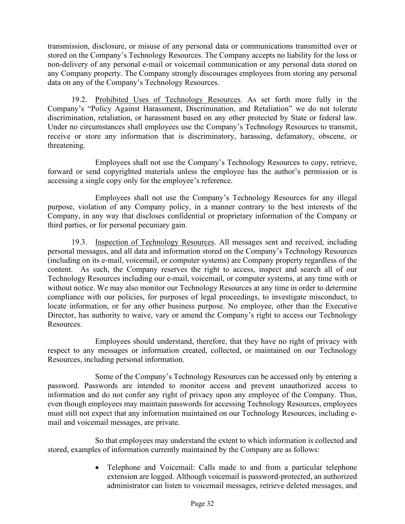transmission, disclosure, or misuse of any personal data or communications transmitted over or stored on the Company's Technology Resources. The Company accepts no liability for the loss or non-delivery of any personal e-mail or voicemail communication or any personal data stored on any Company property. The Company strongly discourages employees from storing any personal data on any of the Company's Technology Resources.

19.2. Prohibited Uses of Technology Resources. As set forth more fully in the Company's "Policy Against Harassment, Discrimination, and Retaliation" we do not tolerate discrimination, retaliation, or harassment based on any other protected by State or federal law. Under no circumstances shall employees use the Company's Technology Resources to transmit, receive or store any information that is discriminatory, harassing, defamatory, obscene, or threatening.

Employees shall not use the Company's Technology Resources to copy, retrieve, forward or send copyrighted materials unless the employee has the author's permission or is accessing a single copy only for the employee's reference.

Employees shall not use the Company's Technology Resources for any illegal purpose, violation of any Company policy, in a manner contrary to the best interests of the Company, in any way that discloses confidential or proprietary information of the Company or third parties, or for personal pecuniary gain.

19.3. Inspection of Technology Resources. All messages sent and received, including personal messages, and all data and information stored on the Company's Technology Resources (including on its e-mail, voicemail, or computer systems) are Company property regardless of the content. As such, the Company reserves the right to access, inspect and search all of our Technology Resources including our e-mail, voicemail, or computer systems, at any time with or without notice. We may also monitor our Technology Resources at any time in order to determine compliance with our policies, for purposes of legal proceedings, to investigate misconduct, to locate information, or for any other business purpose. No employee, other than the Executive Director, has authority to waive, vary or amend the Company's right to access our Technology Resources.

Employees should understand, therefore, that they have no right of privacy with respect to any messages or information created, collected, or maintained on our Technology Resources, including personal information.

Some of the Company's Technology Resources can be accessed only by entering a password. Passwords are intended to monitor access and prevent unauthorized access to information and do not confer any right of privacy upon any employee of the Company. Thus, even though employees may maintain passwords for accessing Technology Resources, employees must still not expect that any information maintained on our Technology Resources, including email and voicemail messages, are private.

So that employees may understand the extent to which information is collected and stored, examples of information currently maintained by the Company are as follows:

> • Telephone and Voicemail: Calls made to and from a particular telephone extension are logged. Although voicemail is password-protected, an authorized administrator can listen to voicemail messages, retrieve deleted messages, and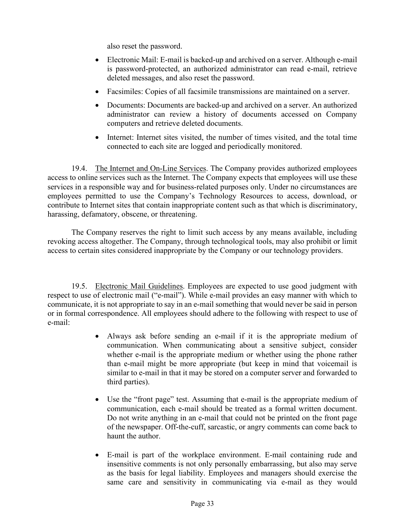also reset the password.

- Electronic Mail: E-mail is backed-up and archived on a server. Although e-mail is password-protected, an authorized administrator can read e-mail, retrieve deleted messages, and also reset the password.
- Facsimiles: Copies of all facsimile transmissions are maintained on a server.
- Documents: Documents are backed-up and archived on a server. An authorized administrator can review a history of documents accessed on Company computers and retrieve deleted documents.
- Internet: Internet sites visited, the number of times visited, and the total time connected to each site are logged and periodically monitored.

19.4. The Internet and On-Line Services. The Company provides authorized employees access to online services such as the Internet. The Company expects that employees will use these services in a responsible way and for business-related purposes only. Under no circumstances are employees permitted to use the Company's Technology Resources to access, download, or contribute to Internet sites that contain inappropriate content such as that which is discriminatory, harassing, defamatory, obscene, or threatening.

The Company reserves the right to limit such access by any means available, including revoking access altogether. The Company, through technological tools, may also prohibit or limit access to certain sites considered inappropriate by the Company or our technology providers.

19.5. Electronic Mail Guidelines. Employees are expected to use good judgment with respect to use of electronic mail ("e-mail"). While e-mail provides an easy manner with which to communicate, it is not appropriate to say in an e-mail something that would never be said in person or in formal correspondence. All employees should adhere to the following with respect to use of e-mail:

- Always ask before sending an e-mail if it is the appropriate medium of communication. When communicating about a sensitive subject, consider whether e-mail is the appropriate medium or whether using the phone rather than e-mail might be more appropriate (but keep in mind that voicemail is similar to e-mail in that it may be stored on a computer server and forwarded to third parties).
- Use the "front page" test. Assuming that e-mail is the appropriate medium of communication, each e-mail should be treated as a formal written document. Do not write anything in an e-mail that could not be printed on the front page of the newspaper. Off-the-cuff, sarcastic, or angry comments can come back to haunt the author.
- E-mail is part of the workplace environment. E-mail containing rude and insensitive comments is not only personally embarrassing, but also may serve as the basis for legal liability. Employees and managers should exercise the same care and sensitivity in communicating via e-mail as they would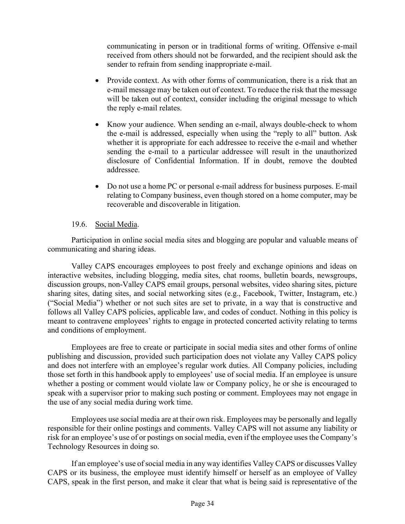communicating in person or in traditional forms of writing. Offensive e-mail received from others should not be forwarded, and the recipient should ask the sender to refrain from sending inappropriate e-mail.

- Provide context. As with other forms of communication, there is a risk that an e-mail message may be taken out of context. To reduce the risk that the message will be taken out of context, consider including the original message to which the reply e-mail relates.
- Know your audience. When sending an e-mail, always double-check to whom the e-mail is addressed, especially when using the "reply to all" button. Ask whether it is appropriate for each addressee to receive the e-mail and whether sending the e-mail to a particular addressee will result in the unauthorized disclosure of Confidential Information. If in doubt, remove the doubted addressee.
- Do not use a home PC or personal e-mail address for business purposes. E-mail relating to Company business, even though stored on a home computer, may be recoverable and discoverable in litigation.

#### 19.6. Social Media.

Participation in online social media sites and blogging are popular and valuable means of communicating and sharing ideas.

Valley CAPS encourages employees to post freely and exchange opinions and ideas on interactive websites, including blogging, media sites, chat rooms, bulletin boards, newsgroups, discussion groups, non-Valley CAPS email groups, personal websites, video sharing sites, picture sharing sites, dating sites, and social networking sites (e.g., Facebook, Twitter, Instagram, etc.) ("Social Media") whether or not such sites are set to private, in a way that is constructive and follows all Valley CAPS policies, applicable law, and codes of conduct. Nothing in this policy is meant to contravene employees' rights to engage in protected concerted activity relating to terms and conditions of employment.

Employees are free to create or participate in social media sites and other forms of online publishing and discussion, provided such participation does not violate any Valley CAPS policy and does not interfere with an employee's regular work duties. All Company policies, including those set forth in this handbook apply to employees' use of social media. If an employee is unsure whether a posting or comment would violate law or Company policy, he or she is encouraged to speak with a supervisor prior to making such posting or comment. Employees may not engage in the use of any social media during work time.

Employees use social media are at their own risk. Employees may be personally and legally responsible for their online postings and comments. Valley CAPS will not assume any liability or risk for an employee's use of or postings on social media, even if the employee uses the Company's Technology Resources in doing so.

If an employee's use of social media in any way identifies Valley CAPS or discusses Valley CAPS or its business, the employee must identify himself or herself as an employee of Valley CAPS, speak in the first person, and make it clear that what is being said is representative of the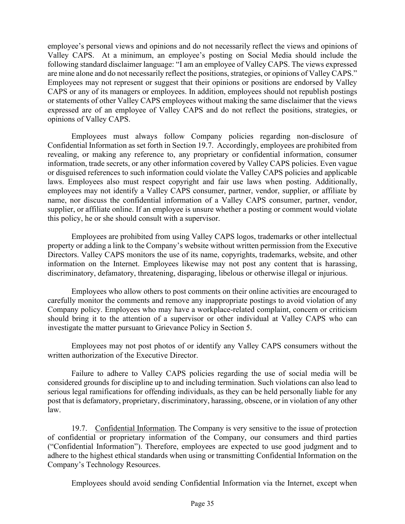employee's personal views and opinions and do not necessarily reflect the views and opinions of Valley CAPS. At a minimum, an employee's posting on Social Media should include the following standard disclaimer language: "I am an employee of Valley CAPS. The views expressed are mine alone and do not necessarily reflect the positions, strategies, or opinions of Valley CAPS." Employees may not represent or suggest that their opinions or positions are endorsed by Valley CAPS or any of its managers or employees. In addition, employees should not republish postings or statements of other Valley CAPS employees without making the same disclaimer that the views expressed are of an employee of Valley CAPS and do not reflect the positions, strategies, or opinions of Valley CAPS.

Employees must always follow Company policies regarding non-disclosure of Confidential Information as set forth in Section 19.7. Accordingly, employees are prohibited from revealing, or making any reference to, any proprietary or confidential information, consumer information, trade secrets, or any other information covered by Valley CAPS policies. Even vague or disguised references to such information could violate the Valley CAPS policies and applicable laws. Employees also must respect copyright and fair use laws when posting. Additionally, employees may not identify a Valley CAPS consumer, partner, vendor, supplier, or affiliate by name, nor discuss the confidential information of a Valley CAPS consumer, partner, vendor, supplier, or affiliate online. If an employee is unsure whether a posting or comment would violate this policy, he or she should consult with a supervisor.

Employees are prohibited from using Valley CAPS logos, trademarks or other intellectual property or adding a link to the Company's website without written permission from the Executive Directors. Valley CAPS monitors the use of its name, copyrights, trademarks, website, and other information on the Internet. Employees likewise may not post any content that is harassing, discriminatory, defamatory, threatening, disparaging, libelous or otherwise illegal or injurious.

Employees who allow others to post comments on their online activities are encouraged to carefully monitor the comments and remove any inappropriate postings to avoid violation of any Company policy. Employees who may have a workplace-related complaint, concern or criticism should bring it to the attention of a supervisor or other individual at Valley CAPS who can investigate the matter pursuant to Grievance Policy in Section 5.

Employees may not post photos of or identify any Valley CAPS consumers without the written authorization of the Executive Director.

Failure to adhere to Valley CAPS policies regarding the use of social media will be considered grounds for discipline up to and including termination. Such violations can also lead to serious legal ramifications for offending individuals, as they can be held personally liable for any post that is defamatory, proprietary, discriminatory, harassing, obscene, or in violation of any other law.

19.7. Confidential Information. The Company is very sensitive to the issue of protection of confidential or proprietary information of the Company, our consumers and third parties ("Confidential Information"). Therefore, employees are expected to use good judgment and to adhere to the highest ethical standards when using or transmitting Confidential Information on the Company's Technology Resources.

Employees should avoid sending Confidential Information via the Internet, except when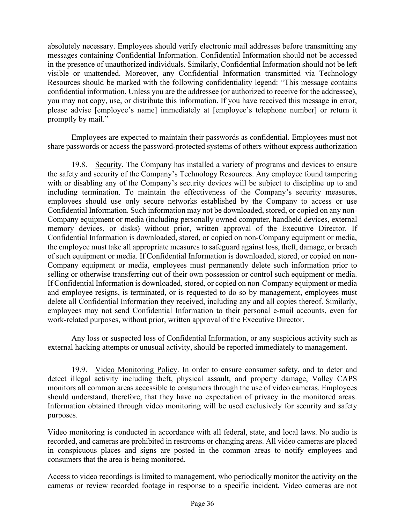absolutely necessary. Employees should verify electronic mail addresses before transmitting any messages containing Confidential Information. Confidential Information should not be accessed in the presence of unauthorized individuals. Similarly, Confidential Information should not be left visible or unattended. Moreover, any Confidential Information transmitted via Technology Resources should be marked with the following confidentiality legend: "This message contains confidential information. Unless you are the addressee (or authorized to receive for the addressee), you may not copy, use, or distribute this information. If you have received this message in error, please advise [employee's name] immediately at [employee's telephone number] or return it promptly by mail."

Employees are expected to maintain their passwords as confidential. Employees must not share passwords or access the password-protected systems of others without express authorization

19.8. Security. The Company has installed a variety of programs and devices to ensure the safety and security of the Company's Technology Resources. Any employee found tampering with or disabling any of the Company's security devices will be subject to discipline up to and including termination. To maintain the effectiveness of the Company's security measures, employees should use only secure networks established by the Company to access or use Confidential Information. Such information may not be downloaded, stored, or copied on any non-Company equipment or media (including personally owned computer, handheld devices, external memory devices, or disks) without prior, written approval of the Executive Director. If Confidential Information is downloaded, stored, or copied on non-Company equipment or media, the employee must take all appropriate measures to safeguard against loss, theft, damage, or breach of such equipment or media. If Confidential Information is downloaded, stored, or copied on non-Company equipment or media, employees must permanently delete such information prior to selling or otherwise transferring out of their own possession or control such equipment or media. If Confidential Information is downloaded, stored, or copied on non-Company equipment or media and employee resigns, is terminated, or is requested to do so by management, employees must delete all Confidential Information they received, including any and all copies thereof. Similarly, employees may not send Confidential Information to their personal e-mail accounts, even for work-related purposes, without prior, written approval of the Executive Director.

Any loss or suspected loss of Confidential Information, or any suspicious activity such as external hacking attempts or unusual activity, should be reported immediately to management.

19.9. Video Monitoring Policy. In order to ensure consumer safety, and to deter and detect illegal activity including theft, physical assault, and property damage, Valley CAPS monitors all common areas accessible to consumers through the use of video cameras. Employees should understand, therefore, that they have no expectation of privacy in the monitored areas. Information obtained through video monitoring will be used exclusively for security and safety purposes.

Video monitoring is conducted in accordance with all federal, state, and local laws. No audio is recorded, and cameras are prohibited in restrooms or changing areas. All video cameras are placed in conspicuous places and signs are posted in the common areas to notify employees and consumers that the area is being monitored.

Access to video recordings is limited to management, who periodically monitor the activity on the cameras or review recorded footage in response to a specific incident. Video cameras are not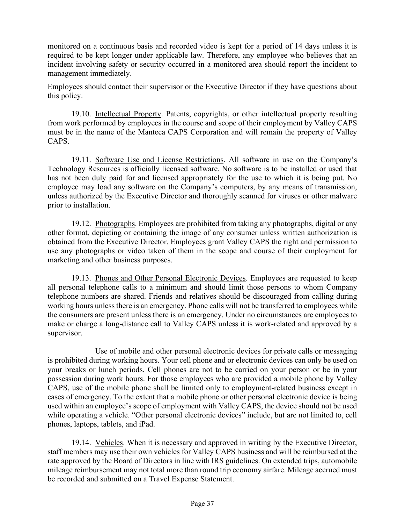monitored on a continuous basis and recorded video is kept for a period of 14 days unless it is required to be kept longer under applicable law. Therefore, any employee who believes that an incident involving safety or security occurred in a monitored area should report the incident to management immediately.

Employees should contact their supervisor or the Executive Director if they have questions about this policy.

19.10. Intellectual Property. Patents, copyrights, or other intellectual property resulting from work performed by employees in the course and scope of their employment by Valley CAPS must be in the name of the Manteca CAPS Corporation and will remain the property of Valley CAPS.

19.11. Software Use and License Restrictions. All software in use on the Company's Technology Resources is officially licensed software. No software is to be installed or used that has not been duly paid for and licensed appropriately for the use to which it is being put. No employee may load any software on the Company's computers, by any means of transmission, unless authorized by the Executive Director and thoroughly scanned for viruses or other malware prior to installation.

19.12. Photographs. Employees are prohibited from taking any photographs, digital or any other format, depicting or containing the image of any consumer unless written authorization is obtained from the Executive Director. Employees grant Valley CAPS the right and permission to use any photographs or video taken of them in the scope and course of their employment for marketing and other business purposes.

19.13. Phones and Other Personal Electronic Devices. Employees are requested to keep all personal telephone calls to a minimum and should limit those persons to whom Company telephone numbers are shared. Friends and relatives should be discouraged from calling during working hours unless there is an emergency. Phone calls will not be transferred to employees while the consumers are present unless there is an emergency. Under no circumstances are employees to make or charge a long-distance call to Valley CAPS unless it is work-related and approved by a supervisor.

Use of mobile and other personal electronic devices for private calls or messaging is prohibited during working hours. Your cell phone and or electronic devices can only be used on your breaks or lunch periods. Cell phones are not to be carried on your person or be in your possession during work hours. For those employees who are provided a mobile phone by Valley CAPS, use of the mobile phone shall be limited only to employment-related business except in cases of emergency. To the extent that a mobile phone or other personal electronic device is being used within an employee's scope of employment with Valley CAPS, the device should not be used while operating a vehicle. "Other personal electronic devices" include, but are not limited to, cell phones, laptops, tablets, and iPad.

19.14. Vehicles. When it is necessary and approved in writing by the Executive Director, staff members may use their own vehicles for Valley CAPS business and will be reimbursed at the rate approved by the Board of Directors in line with IRS guidelines. On extended trips, automobile mileage reimbursement may not total more than round trip economy airfare. Mileage accrued must be recorded and submitted on a Travel Expense Statement.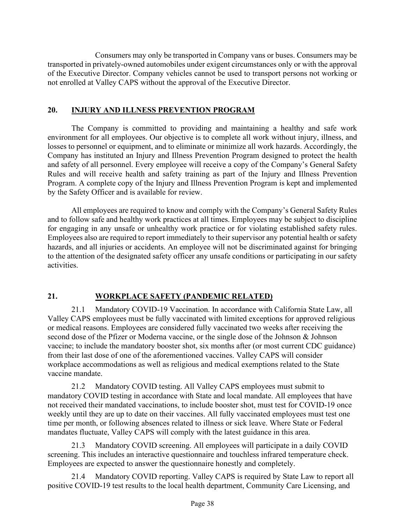Consumers may only be transported in Company vans or buses. Consumers may be transported in privately-owned automobiles under exigent circumstances only or with the approval of the Executive Director. Company vehicles cannot be used to transport persons not working or not enrolled at Valley CAPS without the approval of the Executive Director.

#### **20. INJURY AND ILLNESS PREVENTION PROGRAM**

The Company is committed to providing and maintaining a healthy and safe work environment for all employees. Our objective is to complete all work without injury, illness, and losses to personnel or equipment, and to eliminate or minimize all work hazards. Accordingly, the Company has instituted an Injury and Illness Prevention Program designed to protect the health and safety of all personnel. Every employee will receive a copy of the Company's General Safety Rules and will receive health and safety training as part of the Injury and Illness Prevention Program. A complete copy of the Injury and Illness Prevention Program is kept and implemented by the Safety Officer and is available for review.

All employees are required to know and comply with the Company's General Safety Rules and to follow safe and healthy work practices at all times. Employees may be subject to discipline for engaging in any unsafe or unhealthy work practice or for violating established safety rules. Employees also are required to report immediately to their supervisor any potential health or safety hazards, and all injuries or accidents. An employee will not be discriminated against for bringing to the attention of the designated safety officer any unsafe conditions or participating in our safety activities.

# **21. WORKPLACE SAFETY (PANDEMIC RELATED)**

21.1 Mandatory COVID-19 Vaccination. In accordance with California State Law, all Valley CAPS employees must be fully vaccinated with limited exceptions for approved religious or medical reasons. Employees are considered fully vaccinated two weeks after receiving the second dose of the Pfizer or Moderna vaccine, or the single dose of the Johnson & Johnson vaccine; to include the mandatory booster shot, six months after (or most current CDC guidance) from their last dose of one of the aforementioned vaccines. Valley CAPS will consider workplace accommodations as well as religious and medical exemptions related to the State vaccine mandate.

21.2 Mandatory COVID testing. All Valley CAPS employees must submit to mandatory COVID testing in accordance with State and local mandate. All employees that have not received their mandated vaccinations, to include booster shot, must test for COVID-19 once weekly until they are up to date on their vaccines. All fully vaccinated employees must test one time per month, or following absences related to illness or sick leave. Where State or Federal mandates fluctuate, Valley CAPS will comply with the latest guidance in this area.

21.3 Mandatory COVID screening. All employees will participate in a daily COVID screening. This includes an interactive questionnaire and touchless infrared temperature check. Employees are expected to answer the questionnaire honestly and completely.

21.4 Mandatory COVID reporting. Valley CAPS is required by State Law to report all positive COVID-19 test results to the local health department, Community Care Licensing, and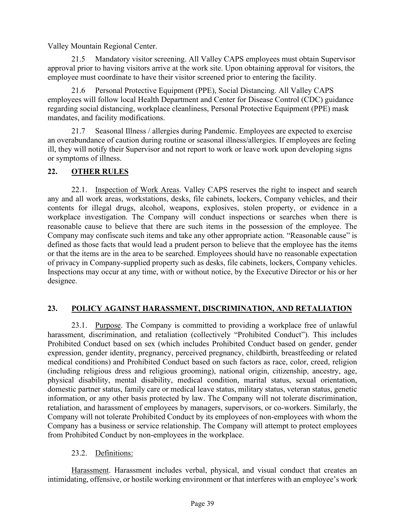Valley Mountain Regional Center.

21.5 Mandatory visitor screening. All Valley CAPS employees must obtain Supervisor approval prior to having visitors arrive at the work site. Upon obtaining approval for visitors, the employee must coordinate to have their visitor screened prior to entering the facility.

21.6 Personal Protective Equipment (PPE), Social Distancing. All Valley CAPS employees will follow local Health Department and Center for Disease Control (CDC) guidance regarding social distancing, workplace cleanliness, Personal Protective Equipment (PPE) mask mandates, and facility modifications.

21.7 Seasonal Illness / allergies during Pandemic. Employees are expected to exercise an overabundance of caution during routine or seasonal illness/allergies. If employees are feeling ill, they will notify their Supervisor and not report to work or leave work upon developing signs or symptoms of illness.

## **22. OTHER RULES**

22.1. Inspection of Work Areas. Valley CAPS reserves the right to inspect and search any and all work areas, workstations, desks, file cabinets, lockers, Company vehicles, and their contents for illegal drugs, alcohol, weapons, explosives, stolen property, or evidence in a workplace investigation. The Company will conduct inspections or searches when there is reasonable cause to believe that there are such items in the possession of the employee. The Company may confiscate such items and take any other appropriate action. "Reasonable cause" is defined as those facts that would lead a prudent person to believe that the employee has the items or that the items are in the area to be searched. Employees should have no reasonable expectation of privacy in Company-supplied property such as desks, file cabinets, lockers, Company vehicles. Inspections may occur at any time, with or without notice, by the Executive Director or his or her designee.

# **23. POLICY AGAINST HARASSMENT, DISCRIMINATION, AND RETALIATION**

23.1. Purpose. The Company is committed to providing a workplace free of unlawful harassment, discrimination, and retaliation (collectively "Prohibited Conduct"). This includes Prohibited Conduct based on sex (which includes Prohibited Conduct based on gender, gender expression, gender identity, pregnancy, perceived pregnancy, childbirth, breastfeeding or related medical conditions) and Prohibited Conduct based on such factors as race, color, creed, religion (including religious dress and religious grooming), national origin, citizenship, ancestry, age, physical disability, mental disability, medical condition, marital status, sexual orientation, domestic partner status, family care or medical leave status, military status, veteran status, genetic information, or any other basis protected by law. The Company will not tolerate discrimination, retaliation, and harassment of employees by managers, supervisors, or co-workers. Similarly, the Company will not tolerate Prohibited Conduct by its employees of non-employees with whom the Company has a business or service relationship. The Company will attempt to protect employees from Prohibited Conduct by non-employees in the workplace.

## 23.2. Definitions:

Harassment. Harassment includes verbal, physical, and visual conduct that creates an intimidating, offensive, or hostile working environment or that interferes with an employee's work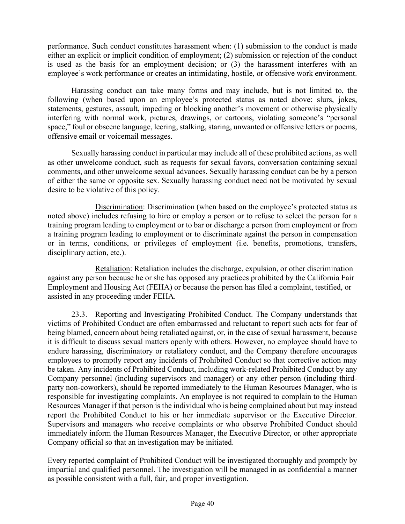performance. Such conduct constitutes harassment when: (1) submission to the conduct is made either an explicit or implicit condition of employment; (2) submission or rejection of the conduct is used as the basis for an employment decision; or (3) the harassment interferes with an employee's work performance or creates an intimidating, hostile, or offensive work environment.

Harassing conduct can take many forms and may include, but is not limited to, the following (when based upon an employee's protected status as noted above: slurs, jokes, statements, gestures, assault, impeding or blocking another's movement or otherwise physically interfering with normal work, pictures, drawings, or cartoons, violating someone's "personal space," foul or obscene language, leering, stalking, staring, unwanted or offensive letters or poems, offensive email or voicemail messages.

Sexually harassing conduct in particular may include all of these prohibited actions, as well as other unwelcome conduct, such as requests for sexual favors, conversation containing sexual comments, and other unwelcome sexual advances. Sexually harassing conduct can be by a person of either the same or opposite sex. Sexually harassing conduct need not be motivated by sexual desire to be violative of this policy.

Discrimination: Discrimination (when based on the employee's protected status as noted above) includes refusing to hire or employ a person or to refuse to select the person for a training program leading to employment or to bar or discharge a person from employment or from a training program leading to employment or to discriminate against the person in compensation or in terms, conditions, or privileges of employment (i.e. benefits, promotions, transfers, disciplinary action, etc.).

Retaliation: Retaliation includes the discharge, expulsion, or other discrimination against any person because he or she has opposed any practices prohibited by the California Fair Employment and Housing Act (FEHA) or because the person has filed a complaint, testified, or assisted in any proceeding under FEHA.

23.3. Reporting and Investigating Prohibited Conduct. The Company understands that victims of Prohibited Conduct are often embarrassed and reluctant to report such acts for fear of being blamed, concern about being retaliated against, or, in the case of sexual harassment, because it is difficult to discuss sexual matters openly with others. However, no employee should have to endure harassing, discriminatory or retaliatory conduct, and the Company therefore encourages employees to promptly report any incidents of Prohibited Conduct so that corrective action may be taken. Any incidents of Prohibited Conduct, including work-related Prohibited Conduct by any Company personnel (including supervisors and manager) or any other person (including thirdparty non-coworkers), should be reported immediately to the Human Resources Manager, who is responsible for investigating complaints. An employee is not required to complain to the Human Resources Manager if that person is the individual who is being complained about but may instead report the Prohibited Conduct to his or her immediate supervisor or the Executive Director. Supervisors and managers who receive complaints or who observe Prohibited Conduct should immediately inform the Human Resources Manager, the Executive Director, or other appropriate Company official so that an investigation may be initiated.

Every reported complaint of Prohibited Conduct will be investigated thoroughly and promptly by impartial and qualified personnel. The investigation will be managed in as confidential a manner as possible consistent with a full, fair, and proper investigation.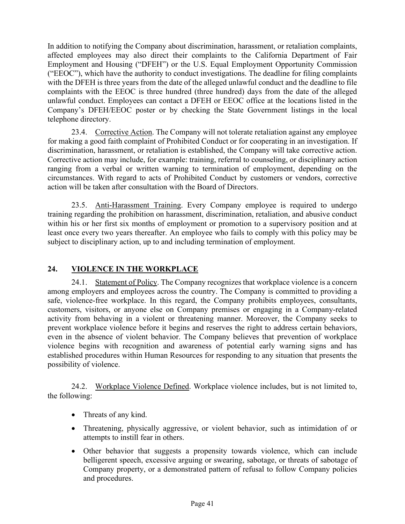In addition to notifying the Company about discrimination, harassment, or retaliation complaints, affected employees may also direct their complaints to the California Department of Fair Employment and Housing ("DFEH") or the U.S. Equal Employment Opportunity Commission ("EEOC"), which have the authority to conduct investigations. The deadline for filing complaints with the DFEH is three years from the date of the alleged unlawful conduct and the deadline to file complaints with the EEOC is three hundred (three hundred) days from the date of the alleged unlawful conduct. Employees can contact a DFEH or EEOC office at the locations listed in the Company's DFEH/EEOC poster or by checking the State Government listings in the local telephone directory.

23.4. Corrective Action. The Company will not tolerate retaliation against any employee for making a good faith complaint of Prohibited Conduct or for cooperating in an investigation. If discrimination, harassment, or retaliation is established, the Company will take corrective action. Corrective action may include, for example: training, referral to counseling, or disciplinary action ranging from a verbal or written warning to termination of employment, depending on the circumstances. With regard to acts of Prohibited Conduct by customers or vendors, corrective action will be taken after consultation with the Board of Directors.

23.5. Anti-Harassment Training. Every Company employee is required to undergo training regarding the prohibition on harassment, discrimination, retaliation, and abusive conduct within his or her first six months of employment or promotion to a supervisory position and at least once every two years thereafter. An employee who fails to comply with this policy may be subject to disciplinary action, up to and including termination of employment.

# **24. VIOLENCE IN THE WORKPLACE**

24.1. Statement of Policy. The Company recognizes that workplace violence is a concern among employers and employees across the country. The Company is committed to providing a safe, violence-free workplace. In this regard, the Company prohibits employees, consultants, customers, visitors, or anyone else on Company premises or engaging in a Company-related activity from behaving in a violent or threatening manner. Moreover, the Company seeks to prevent workplace violence before it begins and reserves the right to address certain behaviors, even in the absence of violent behavior. The Company believes that prevention of workplace violence begins with recognition and awareness of potential early warning signs and has established procedures within Human Resources for responding to any situation that presents the possibility of violence.

24.2. Workplace Violence Defined. Workplace violence includes, but is not limited to, the following:

- Threats of any kind.
- Threatening, physically aggressive, or violent behavior, such as intimidation of or attempts to instill fear in others.
- Other behavior that suggests a propensity towards violence, which can include belligerent speech, excessive arguing or swearing, sabotage, or threats of sabotage of Company property, or a demonstrated pattern of refusal to follow Company policies and procedures.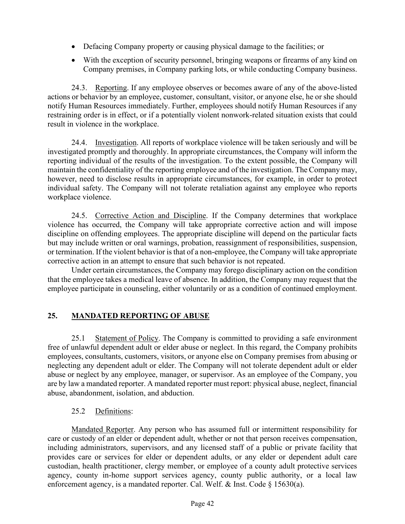- Defacing Company property or causing physical damage to the facilities; or
- With the exception of security personnel, bringing weapons or firearms of any kind on Company premises, in Company parking lots, or while conducting Company business.

24.3. Reporting. If any employee observes or becomes aware of any of the above-listed actions or behavior by an employee, customer, consultant, visitor, or anyone else, he or she should notify Human Resources immediately. Further, employees should notify Human Resources if any restraining order is in effect, or if a potentially violent nonwork-related situation exists that could result in violence in the workplace.

24.4. Investigation. All reports of workplace violence will be taken seriously and will be investigated promptly and thoroughly. In appropriate circumstances, the Company will inform the reporting individual of the results of the investigation. To the extent possible, the Company will maintain the confidentiality of the reporting employee and of the investigation. The Company may, however, need to disclose results in appropriate circumstances, for example, in order to protect individual safety. The Company will not tolerate retaliation against any employee who reports workplace violence.

24.5. Corrective Action and Discipline. If the Company determines that workplace violence has occurred, the Company will take appropriate corrective action and will impose discipline on offending employees. The appropriate discipline will depend on the particular facts but may include written or oral warnings, probation, reassignment of responsibilities, suspension, or termination. If the violent behavior is that of a non-employee, the Company will take appropriate corrective action in an attempt to ensure that such behavior is not repeated.

Under certain circumstances, the Company may forego disciplinary action on the condition that the employee takes a medical leave of absence. In addition, the Company may request that the employee participate in counseling, either voluntarily or as a condition of continued employment.

# **25. MANDATED REPORTING OF ABUSE**

25.1 Statement of Policy. The Company is committed to providing a safe environment free of unlawful dependent adult or elder abuse or neglect. In this regard, the Company prohibits employees, consultants, customers, visitors, or anyone else on Company premises from abusing or neglecting any dependent adult or elder. The Company will not tolerate dependent adult or elder abuse or neglect by any employee, manager, or supervisor. As an employee of the Company, you are by law a mandated reporter. A mandated reporter must report: physical abuse, neglect, financial abuse, abandonment, isolation, and abduction.

## 25.2 Definitions:

Mandated Reporter. Any person who has assumed full or intermittent responsibility for care or custody of an elder or dependent adult, whether or not that person receives compensation, including administrators, supervisors, and any licensed staff of a public or private facility that provides care or services for elder or dependent adults, or any elder or dependent adult care custodian, health practitioner, clergy member, or employee of a county adult protective services agency, county in-home support services agency, county public authority, or a local law enforcement agency, is a mandated reporter. Cal. Welf. & Inst. Code § 15630(a).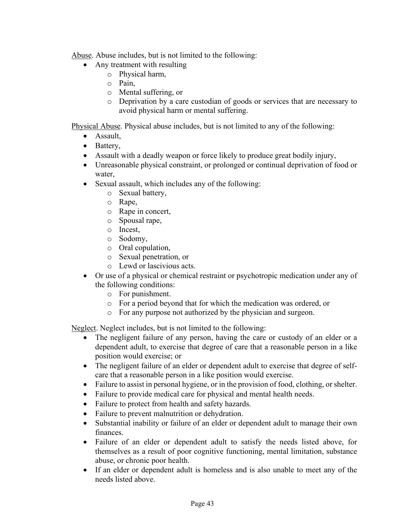Abuse. Abuse includes, but is not limited to the following:

- Any treatment with resulting
	- o Physical harm,
	- o Pain,
	- o Mental suffering, or
	- o Deprivation by a care custodian of goods or services that are necessary to avoid physical harm or mental suffering.

Physical Abuse. Physical abuse includes, but is not limited to any of the following:

- Assault,
- Battery,
- Assault with a deadly weapon or force likely to produce great bodily injury,
- Unreasonable physical constraint, or prolonged or continual deprivation of food or water,
- Sexual assault, which includes any of the following:
	- o Sexual battery,
	- o Rape,
	- o Rape in concert,
	- o Spousal rape,
	- o Incest,
	- o Sodomy,
	- o Oral copulation,
	- o Sexual penetration, or
	- o Lewd or lascivious acts.
- Or use of a physical or chemical restraint or psychotropic medication under any of the following conditions:
	- o For punishment.
	- o For a period beyond that for which the medication was ordered, or
	- o For any purpose not authorized by the physician and surgeon.

Neglect. Neglect includes, but is not limited to the following:

- The negligent failure of any person, having the care or custody of an elder or a dependent adult, to exercise that degree of care that a reasonable person in a like position would exercise; or
- The negligent failure of an elder or dependent adult to exercise that degree of selfcare that a reasonable person in a like position would exercise.
- Failure to assist in personal hygiene, or in the provision of food, clothing, or shelter.
- Failure to provide medical care for physical and mental health needs.
- Failure to protect from health and safety hazards.
- Failure to prevent malnutrition or dehydration.
- Substantial inability or failure of an elder or dependent adult to manage their own finances.
- Failure of an elder or dependent adult to satisfy the needs listed above, for themselves as a result of poor cognitive functioning, mental limitation, substance abuse, or chronic poor health.
- If an elder or dependent adult is homeless and is also unable to meet any of the needs listed above.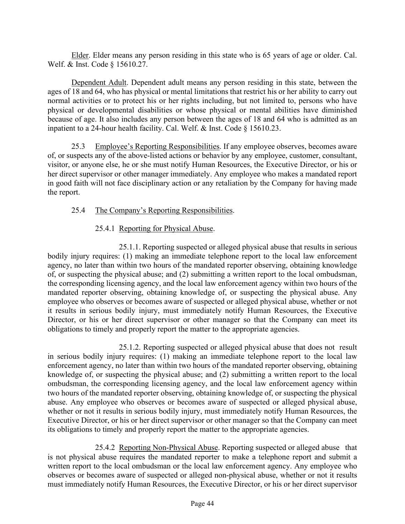Elder. Elder means any person residing in this state who is 65 years of age or older. Cal. Welf. & Inst. Code § 15610.27.

Dependent Adult. Dependent adult means any person residing in this state, between the ages of 18 and 64, who has physical or mental limitations that restrict his or her ability to carry out normal activities or to protect his or her rights including, but not limited to, persons who have physical or developmental disabilities or whose physical or mental abilities have diminished because of age. It also includes any person between the ages of 18 and 64 who is admitted as an inpatient to a 24-hour health facility. Cal. Welf. & Inst. Code § 15610.23.

25.3 Employee's Reporting Responsibilities. If any employee observes, becomes aware of, or suspects any of the above-listed actions or behavior by any employee, customer, consultant, visitor, or anyone else, he or she must notify Human Resources, the Executive Director, or his or her direct supervisor or other manager immediately. Any employee who makes a mandated report in good faith will not face disciplinary action or any retaliation by the Company for having made the report.

#### 25.4 The Company's Reporting Responsibilities.

## 25.4.1 Reporting for Physical Abuse.

25.1.1. Reporting suspected or alleged physical abuse that results in serious bodily injury requires: (1) making an immediate telephone report to the local law enforcement agency, no later than within two hours of the mandated reporter observing, obtaining knowledge of, or suspecting the physical abuse; and (2) submitting a written report to the local ombudsman, the corresponding licensing agency, and the local law enforcement agency within two hours of the mandated reporter observing, obtaining knowledge of, or suspecting the physical abuse. Any employee who observes or becomes aware of suspected or alleged physical abuse, whether or not it results in serious bodily injury, must immediately notify Human Resources, the Executive Director, or his or her direct supervisor or other manager so that the Company can meet its obligations to timely and properly report the matter to the appropriate agencies.

25.1.2. Reporting suspected or alleged physical abuse that does not result in serious bodily injury requires: (1) making an immediate telephone report to the local law enforcement agency, no later than within two hours of the mandated reporter observing, obtaining knowledge of, or suspecting the physical abuse; and (2) submitting a written report to the local ombudsman, the corresponding licensing agency, and the local law enforcement agency within two hours of the mandated reporter observing, obtaining knowledge of, or suspecting the physical abuse. Any employee who observes or becomes aware of suspected or alleged physical abuse, whether or not it results in serious bodily injury, must immediately notify Human Resources, the Executive Director, or his or her direct supervisor or other manager so that the Company can meet its obligations to timely and properly report the matter to the appropriate agencies.

25.4.2 Reporting Non-Physical Abuse. Reporting suspected or alleged abuse that is not physical abuse requires the mandated reporter to make a telephone report and submit a written report to the local ombudsman or the local law enforcement agency. Any employee who observes or becomes aware of suspected or alleged non-physical abuse, whether or not it results must immediately notify Human Resources, the Executive Director, or his or her direct supervisor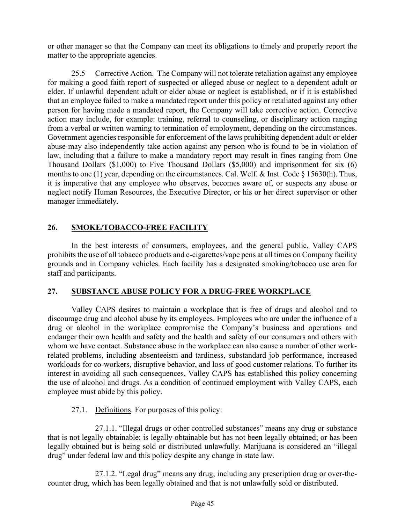or other manager so that the Company can meet its obligations to timely and properly report the matter to the appropriate agencies.

25.5 Corrective Action. The Company will not tolerate retaliation against any employee for making a good faith report of suspected or alleged abuse or neglect to a dependent adult or elder. If unlawful dependent adult or elder abuse or neglect is established, or if it is established that an employee failed to make a mandated report under this policy or retaliated against any other person for having made a mandated report, the Company will take corrective action. Corrective action may include, for example: training, referral to counseling, or disciplinary action ranging from a verbal or written warning to termination of employment, depending on the circumstances. Government agencies responsible for enforcement of the laws prohibiting dependent adult or elder abuse may also independently take action against any person who is found to be in violation of law, including that a failure to make a mandatory report may result in fines ranging from One Thousand Dollars (\$1,000) to Five Thousand Dollars (\$5,000) and imprisonment for six (6) months to one (1) year, depending on the circumstances. Cal. Welf. & Inst. Code § 15630(h). Thus, it is imperative that any employee who observes, becomes aware of, or suspects any abuse or neglect notify Human Resources, the Executive Director, or his or her direct supervisor or other manager immediately.

## **26. SMOKE/TOBACCO-FREE FACILITY**

In the best interests of consumers, employees, and the general public, Valley CAPS prohibits the use of all tobacco products and e-cigarettes/vape pens at all times on Company facility grounds and in Company vehicles. Each facility has a designated smoking/tobacco use area for staff and participants.

## **27. SUBSTANCE ABUSE POLICY FOR A DRUG-FREE WORKPLACE**

Valley CAPS desires to maintain a workplace that is free of drugs and alcohol and to discourage drug and alcohol abuse by its employees. Employees who are under the influence of a drug or alcohol in the workplace compromise the Company's business and operations and endanger their own health and safety and the health and safety of our consumers and others with whom we have contact. Substance abuse in the workplace can also cause a number of other workrelated problems, including absenteeism and tardiness, substandard job performance, increased workloads for co-workers, disruptive behavior, and loss of good customer relations. To further its interest in avoiding all such consequences, Valley CAPS has established this policy concerning the use of alcohol and drugs. As a condition of continued employment with Valley CAPS, each employee must abide by this policy.

# 27.1. Definitions. For purposes of this policy:

27.1.1. "Illegal drugs or other controlled substances" means any drug or substance that is not legally obtainable; is legally obtainable but has not been legally obtained; or has been legally obtained but is being sold or distributed unlawfully. Marijuana is considered an "illegal drug" under federal law and this policy despite any change in state law.

27.1.2. "Legal drug" means any drug, including any prescription drug or over-thecounter drug, which has been legally obtained and that is not unlawfully sold or distributed.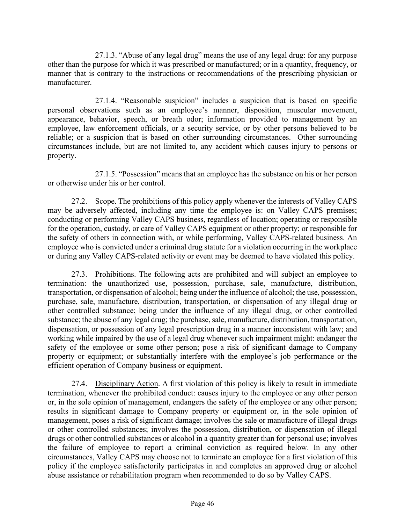27.1.3. "Abuse of any legal drug" means the use of any legal drug: for any purpose other than the purpose for which it was prescribed or manufactured; or in a quantity, frequency, or manner that is contrary to the instructions or recommendations of the prescribing physician or manufacturer.

27.1.4. "Reasonable suspicion" includes a suspicion that is based on specific personal observations such as an employee's manner, disposition, muscular movement, appearance, behavior, speech, or breath odor; information provided to management by an employee, law enforcement officials, or a security service, or by other persons believed to be reliable; or a suspicion that is based on other surrounding circumstances. Other surrounding circumstances include, but are not limited to, any accident which causes injury to persons or property.

27.1.5. "Possession" means that an employee has the substance on his or her person or otherwise under his or her control.

27.2. Scope. The prohibitions of this policy apply whenever the interests of Valley CAPS may be adversely affected, including any time the employee is: on Valley CAPS premises; conducting or performing Valley CAPS business, regardless of location; operating or responsible for the operation, custody, or care of Valley CAPS equipment or other property; or responsible for the safety of others in connection with, or while performing, Valley CAPS-related business. An employee who is convicted under a criminal drug statute for a violation occurring in the workplace or during any Valley CAPS-related activity or event may be deemed to have violated this policy.

27.3. Prohibitions. The following acts are prohibited and will subject an employee to termination: the unauthorized use, possession, purchase, sale, manufacture, distribution, transportation, or dispensation of alcohol; being under the influence of alcohol; the use, possession, purchase, sale, manufacture, distribution, transportation, or dispensation of any illegal drug or other controlled substance; being under the influence of any illegal drug, or other controlled substance; the abuse of any legal drug; the purchase, sale, manufacture, distribution, transportation, dispensation, or possession of any legal prescription drug in a manner inconsistent with law; and working while impaired by the use of a legal drug whenever such impairment might: endanger the safety of the employee or some other person; pose a risk of significant damage to Company property or equipment; or substantially interfere with the employee's job performance or the efficient operation of Company business or equipment.

27.4. Disciplinary Action. A first violation of this policy is likely to result in immediate termination, whenever the prohibited conduct: causes injury to the employee or any other person or, in the sole opinion of management, endangers the safety of the employee or any other person; results in significant damage to Company property or equipment or, in the sole opinion of management, poses a risk of significant damage; involves the sale or manufacture of illegal drugs or other controlled substances; involves the possession, distribution, or dispensation of illegal drugs or other controlled substances or alcohol in a quantity greater than for personal use; involves the failure of employee to report a criminal conviction as required below. In any other circumstances, Valley CAPS may choose not to terminate an employee for a first violation of this policy if the employee satisfactorily participates in and completes an approved drug or alcohol abuse assistance or rehabilitation program when recommended to do so by Valley CAPS.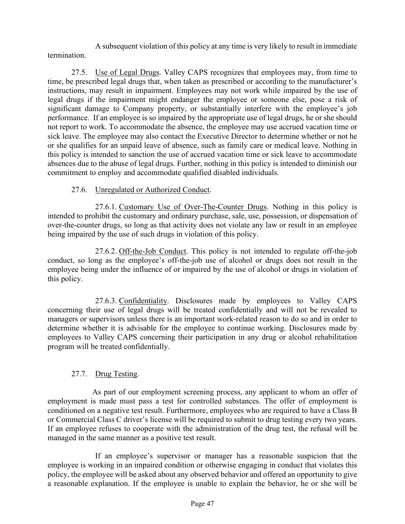A subsequent violation of this policy at any time is very likely to result in immediate termination.

27.5. Use of Legal Drugs. Valley CAPS recognizes that employees may, from time to time, be prescribed legal drugs that, when taken as prescribed or according to the manufacturer's instructions, may result in impairment. Employees may not work while impaired by the use of legal drugs if the impairment might endanger the employee or someone else, pose a risk of significant damage to Company property, or substantially interfere with the employee's job performance. If an employee is so impaired by the appropriate use of legal drugs, he or she should not report to work. To accommodate the absence, the employee may use accrued vacation time or sick leave. The employee may also contact the Executive Director to determine whether or not he or she qualifies for an unpaid leave of absence, such as family care or medical leave. Nothing in this policy is intended to sanction the use of accrued vacation time or sick leave to accommodate absences due to the abuse of legal drugs. Further, nothing in this policy is intended to diminish our commitment to employ and accommodate qualified disabled individuals.

## 27.6. Unregulated or Authorized Conduct.

27.6.1. Customary Use of Over-The-Counter Drugs. Nothing in this policy is intended to prohibit the customary and ordinary purchase, sale, use, possession, or dispensation of over-the-counter drugs, so long as that activity does not violate any law or result in an employee being impaired by the use of such drugs in violation of this policy.

27.6.2. Off-the-Job Conduct. This policy is not intended to regulate off-the-job conduct, so long as the employee's off-the-job use of alcohol or drugs does not result in the employee being under the influence of or impaired by the use of alcohol or drugs in violation of this policy.

27.6.3. Confidentiality. Disclosures made by employees to Valley CAPS concerning their use of legal drugs will be treated confidentially and will not be revealed to managers or supervisors unless there is an important work-related reason to do so and in order to determine whether it is advisable for the employee to continue working. Disclosures made by employees to Valley CAPS concerning their participation in any drug or alcohol rehabilitation program will be treated confidentially.

## 27.7. Drug Testing.

As part of our employment screening process, any applicant to whom an offer of employment is made must pass a test for controlled substances. The offer of employment is conditioned on a negative test result. Furthermore, employees who are required to have a Class B or Commercial Class C driver's license will be required to submit to drug testing every two years. If an employee refuses to cooperate with the administration of the drug test, the refusal will be managed in the same manner as a positive test result.

If an employee's supervisor or manager has a reasonable suspicion that the employee is working in an impaired condition or otherwise engaging in conduct that violates this policy, the employee will be asked about any observed behavior and offered an opportunity to give a reasonable explanation. If the employee is unable to explain the behavior, he or she will be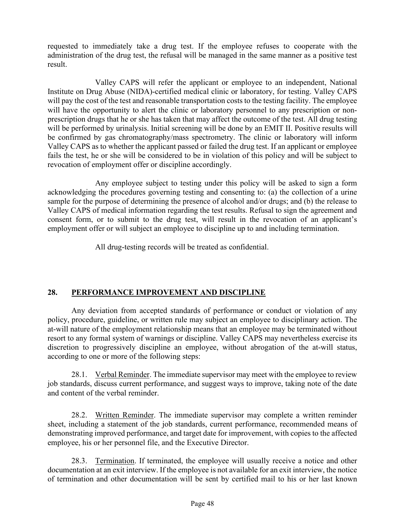requested to immediately take a drug test. If the employee refuses to cooperate with the administration of the drug test, the refusal will be managed in the same manner as a positive test result.

Valley CAPS will refer the applicant or employee to an independent, National Institute on Drug Abuse (NIDA)-certified medical clinic or laboratory, for testing. Valley CAPS will pay the cost of the test and reasonable transportation costs to the testing facility. The employee will have the opportunity to alert the clinic or laboratory personnel to any prescription or nonprescription drugs that he or she has taken that may affect the outcome of the test. All drug testing will be performed by urinalysis. Initial screening will be done by an EMIT II. Positive results will be confirmed by gas chromatography/mass spectrometry. The clinic or laboratory will inform Valley CAPS as to whether the applicant passed or failed the drug test. If an applicant or employee fails the test, he or she will be considered to be in violation of this policy and will be subject to revocation of employment offer or discipline accordingly.

Any employee subject to testing under this policy will be asked to sign a form acknowledging the procedures governing testing and consenting to: (a) the collection of a urine sample for the purpose of determining the presence of alcohol and/or drugs; and (b) the release to Valley CAPS of medical information regarding the test results. Refusal to sign the agreement and consent form, or to submit to the drug test, will result in the revocation of an applicant's employment offer or will subject an employee to discipline up to and including termination.

All drug-testing records will be treated as confidential.

# **28. PERFORMANCE IMPROVEMENT AND DISCIPLINE**

Any deviation from accepted standards of performance or conduct or violation of any policy, procedure, guideline, or written rule may subject an employee to disciplinary action. The at-will nature of the employment relationship means that an employee may be terminated without resort to any formal system of warnings or discipline. Valley CAPS may nevertheless exercise its discretion to progressively discipline an employee, without abrogation of the at-will status, according to one or more of the following steps:

28.1. Verbal Reminder. The immediate supervisor may meet with the employee to review job standards, discuss current performance, and suggest ways to improve, taking note of the date and content of the verbal reminder.

28.2. Written Reminder. The immediate supervisor may complete a written reminder sheet, including a statement of the job standards, current performance, recommended means of demonstrating improved performance, and target date for improvement, with copies to the affected employee, his or her personnel file, and the Executive Director.

28.3. Termination. If terminated, the employee will usually receive a notice and other documentation at an exit interview. If the employee is not available for an exit interview, the notice of termination and other documentation will be sent by certified mail to his or her last known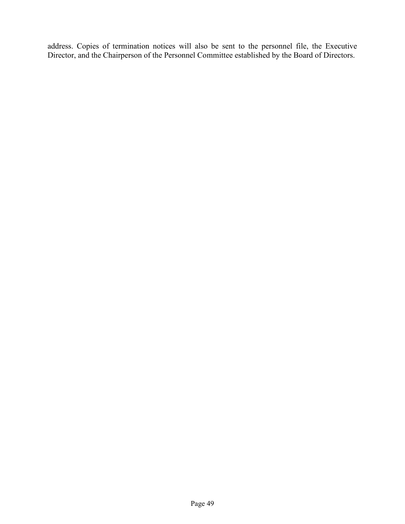address. Copies of termination notices will also be sent to the personnel file, the Executive Director, and the Chairperson of the Personnel Committee established by the Board of Directors.